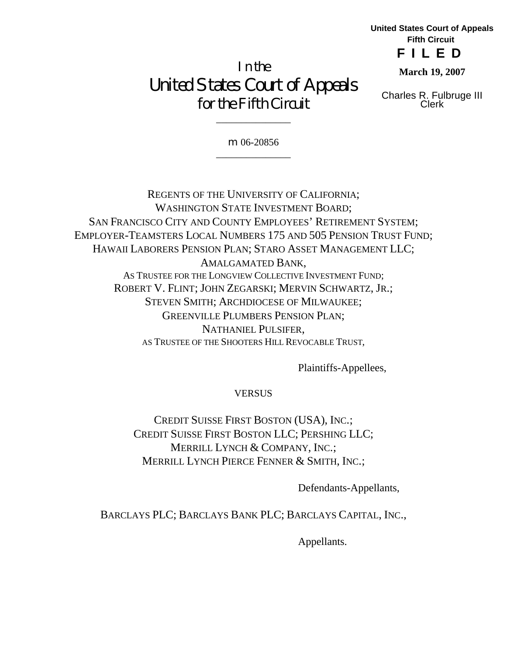**United States Court of Appeals Fifth Circuit FILED**

**March 19, 2007**

Charles R. Fulbruge III Clerk

In the United States Court of Appeals for the Fifth Circuit

> m 06-20856 \_\_\_\_\_\_\_\_\_\_\_\_\_\_\_

> \_\_\_\_\_\_\_\_\_\_\_\_\_\_\_

REGENTS OF THE UNIVERSITY OF CALIFORNIA; WASHINGTON STATE INVESTMENT BOARD; SAN FRANCISCO CITY AND COUNTY EMPLOYEES' RETIREMENT SYSTEM; EMPLOYER-TEAMSTERS LOCAL NUMBERS 175 AND 505 PENSION TRUST FUND; HAWAII LABORERS PENSION PLAN; STARO ASSET MANAGEMENT LLC; AMALGAMATED BANK, AS TRUSTEE FOR THE LONGVIEW COLLECTIVE INVESTMENT FUND; ROBERT V. FLINT; JOHN ZEGARSKI; MERVIN SCHWARTZ, JR.; STEVEN SMITH; ARCHDIOCESE OF MILWAUKEE; GREENVILLE PLUMBERS PENSION PLAN; NATHANIEL PULSIFER, AS TRUSTEE OF THE SHOOTERS HILL REVOCABLE TRUST,

Plaintiffs-Appellees,

**VERSUS** 

CREDIT SUISSE FIRST BOSTON (USA), INC.; CREDIT SUISSE FIRST BOSTON LLC; PERSHING LLC; MERRILL LYNCH & COMPANY, INC.; MERRILL LYNCH PIERCE FENNER & SMITH, INC.;

Defendants-Appellants,

BARCLAYS PLC; BARCLAYS BANK PLC; BARCLAYS CAPITAL, INC.,

Appellants.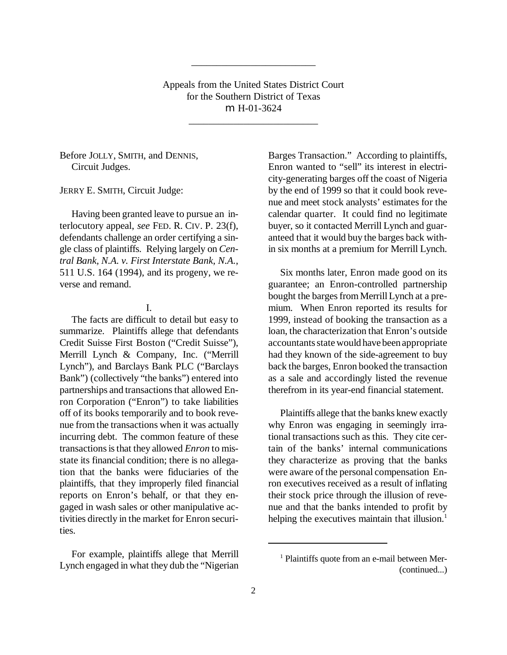Appeals from the United States District Court for the Southern District of Texas m H-01-3624

\_\_\_\_\_\_\_\_\_\_\_\_\_\_\_\_\_\_\_\_\_\_\_\_\_\_

\_\_\_\_\_\_\_\_\_\_\_\_\_\_\_\_\_\_\_\_\_\_\_\_\_

Before JOLLY, SMITH, and DENNIS, Circuit Judges.

JERRY E. SMITH, Circuit Judge:

Having been granted leave to pursue an interlocutory appeal, *see* FED. R. CIV. P. 23(f), defendants challenge an order certifying a single class of plaintiffs. Relying largely on *Central Bank, N.A. v. First Interstate Bank, N.A.*, 511 U.S. 164 (1994), and its progeny, we reverse and remand.

### I.

The facts are difficult to detail but easy to summarize. Plaintiffs allege that defendants Credit Suisse First Boston ("Credit Suisse"), Merrill Lynch & Company, Inc. ("Merrill Lynch"), and Barclays Bank PLC ("Barclays Bank") (collectively "the banks") entered into partnerships and transactions that allowed Enron Corporation ("Enron") to take liabilities off of its books temporarily and to book revenue from the transactions when it was actually incurring debt. The common feature of these transactions is that they allowed *Enron* to misstate its financial condition; there is no allegation that the banks were fiduciaries of the plaintiffs, that they improperly filed financial reports on Enron's behalf, or that they engaged in wash sales or other manipulative activities directly in the market for Enron securities.

For example, plaintiffs allege that Merrill Lynch engaged in what they dub the "Nigerian Barges Transaction." According to plaintiffs, Enron wanted to "sell" its interest in electricity-generating barges off the coast of Nigeria by the end of 1999 so that it could book revenue and meet stock analysts' estimates for the calendar quarter. It could find no legitimate buyer, so it contacted Merrill Lynch and guaranteed that it would buy the barges back within six months at a premium for Merrill Lynch.

Six months later, Enron made good on its guarantee; an Enron-controlled partnership bought the barges from Merrill Lynch at a premium. When Enron reported its results for 1999, instead of booking the transaction as a loan, the characterization that Enron's outside accountants state would have been appropriate had they known of the side-agreement to buy back the barges, Enron booked the transaction as a sale and accordingly listed the revenue therefrom in its year-end financial statement.

Plaintiffs allege that the banks knew exactly why Enron was engaging in seemingly irrational transactions such as this. They cite certain of the banks' internal communications they characterize as proving that the banks were aware of the personal compensation Enron executives received as a result of inflating their stock price through the illusion of revenue and that the banks intended to profit by helping the executives maintain that illusion.<sup>1</sup>

<sup>1</sup> Plaintiffs quote from an e-mail between Mer- (continued...)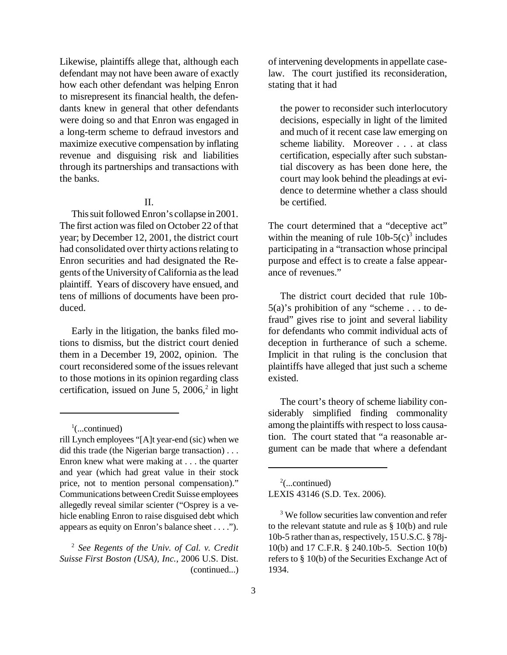Likewise, plaintiffs allege that, although each defendant may not have been aware of exactly how each other defendant was helping Enron to misrepresent its financial health, the defendants knew in general that other defendants were doing so and that Enron was engaged in a long-term scheme to defraud investors and maximize executive compensation by inflating revenue and disguising risk and liabilities through its partnerships and transactions with the banks.

# II.

This suit followed Enron's collapse in 2001. The first action was filed on October 22 of that year; by December 12, 2001, the district court had consolidated over thirty actions relating to Enron securities and had designated the Regents of the University of California as the lead plaintiff. Years of discovery have ensued, and tens of millions of documents have been produced.

Early in the litigation, the banks filed motions to dismiss, but the district court denied them in a December 19, 2002, opinion. The court reconsidered some of the issues relevant to those motions in its opinion regarding class certification, issued on June 5,  $2006$ <sup>2</sup> in light

of intervening developments in appellate caselaw. The court justified its reconsideration, stating that it had

the power to reconsider such interlocutory decisions, especially in light of the limited and much of it recent case law emerging on scheme liability. Moreover . . . at class certification, especially after such substantial discovery as has been done here, the court may look behind the pleadings at evidence to determine whether a class should be certified.

The court determined that a "deceptive act" within the meaning of rule  $10b-5(c)^3$  includes participating in a "transaction whose principal purpose and effect is to create a false appearance of revenues."

The district court decided that rule 10b-5(a)'s prohibition of any "scheme . . . to defraud" gives rise to joint and several liability for defendants who commit individual acts of deception in furtherance of such a scheme. Implicit in that ruling is the conclusion that plaintiffs have alleged that just such a scheme existed.

The court's theory of scheme liability considerably simplified finding commonality among the plaintiffs with respect to loss causation. The court stated that "a reasonable argument can be made that where a defendant

 $2$ (...continued)

LEXIS 43146 (S.D. Tex. 2006).

 $\frac{1}{2}$ (...continued)

rill Lynch employees "[A]t year-end (sic) when we did this trade (the Nigerian barge transaction) . . . Enron knew what were making at . . . the quarter and year (which had great value in their stock price, not to mention personal compensation)." Communications betweenCredit Suisse employees allegedly reveal similar scienter ("Osprey is a vehicle enabling Enron to raise disguised debt which appears as equity on Enron's balance sheet . . . .").

<sup>2</sup> *See Regents of the Univ. of Cal. v. Credit Suisse First Boston (USA), Inc.*, 2006 U.S. Dist. (continued...)

<sup>&</sup>lt;sup>3</sup> We follow securities law convention and refer to the relevant statute and rule as § 10(b) and rule 10b-5 rather than as, respectively, 15 U.S.C. § 78j-10(b) and 17 C.F.R. § 240.10b-5. Section 10(b) refers to § 10(b) of the Securities Exchange Act of 1934.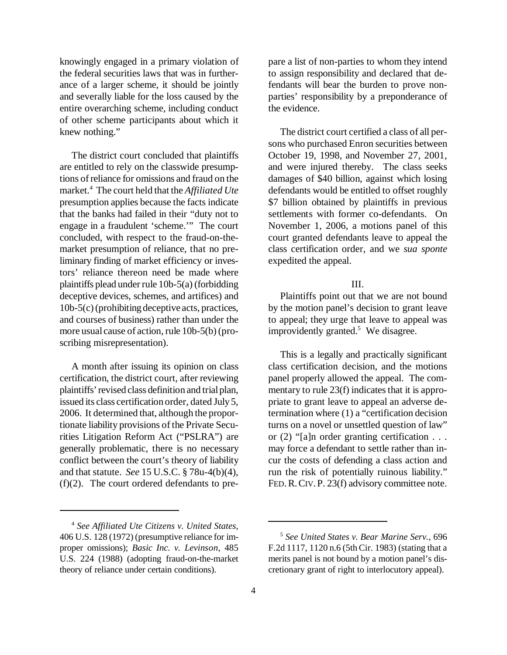knowingly engaged in a primary violation of the federal securities laws that was in furtherance of a larger scheme, it should be jointly and severally liable for the loss caused by the entire overarching scheme, including conduct of other scheme participants about which it knew nothing."

The district court concluded that plaintiffs are entitled to rely on the classwide presumptions ofreliance for omissions and fraud on the market.<sup>4</sup> The court held that the *Affiliated Ute* presumption applies because the facts indicate that the banks had failed in their "duty not to engage in a fraudulent 'scheme.'" The court concluded, with respect to the fraud-on-themarket presumption of reliance, that no preliminary finding of market efficiency or investors' reliance thereon need be made where plaintiffs plead under rule 10b-5(a) (forbidding deceptive devices, schemes, and artifices) and 10b-5(c)(prohibiting deceptive acts, practices, and courses of business) rather than under the more usual cause of action, rule 10b-5(b) (proscribing misrepresentation).

A month after issuing its opinion on class certification, the district court, after reviewing plaintiffs' revised class definition and trial plan, issued its class certification order, dated July5, 2006. It determined that, although the proportionate liability provisions of the Private Securities Litigation Reform Act ("PSLRA") are generally problematic, there is no necessary conflict between the court's theory of liability and that statute. *See* 15 U.S.C. § 78u-4(b)(4), (f)(2). The court ordered defendants to prepare a list of non-parties to whom they intend to assign responsibility and declared that defendants will bear the burden to prove nonparties' responsibility by a preponderance of the evidence.

The district court certified a class of all persons who purchased Enron securities between October 19, 1998, and November 27, 2001, and were injured thereby. The class seeks damages of \$40 billion, against which losing defendants would be entitled to offset roughly \$7 billion obtained by plaintiffs in previous settlements with former co-defendants. On November 1, 2006, a motions panel of this court granted defendants leave to appeal the class certification order, and we *sua sponte* expedited the appeal.

## III.

Plaintiffs point out that we are not bound by the motion panel's decision to grant leave to appeal; they urge that leave to appeal was improvidently granted. $5$  We disagree.

This is a legally and practically significant class certification decision, and the motions panel properly allowed the appeal. The commentary to rule  $23(f)$  indicates that it is appropriate to grant leave to appeal an adverse determination where (1) a "certification decision turns on a novel or unsettled question of law" or  $(2)$  "[a]n order granting certification . . . may force a defendant to settle rather than incur the costs of defending a class action and run the risk of potentially ruinous liability." FED. R. CIV. P. 23(f) advisory committee note.

<sup>4</sup> *See Affiliated Ute Citizens v. United States*, 406 U.S. 128 (1972) (presumptive reliance for improper omissions); *Basic Inc. v. Levinson*, 485 U.S. 224 (1988) (adopting fraud-on-the-market theory of reliance under certain conditions).

<sup>5</sup> *See United States v. Bear Marine Serv.*, 696 F.2d 1117, 1120 n.6 (5th Cir. 1983) (stating that a merits panel is not bound by a motion panel's discretionary grant of right to interlocutory appeal).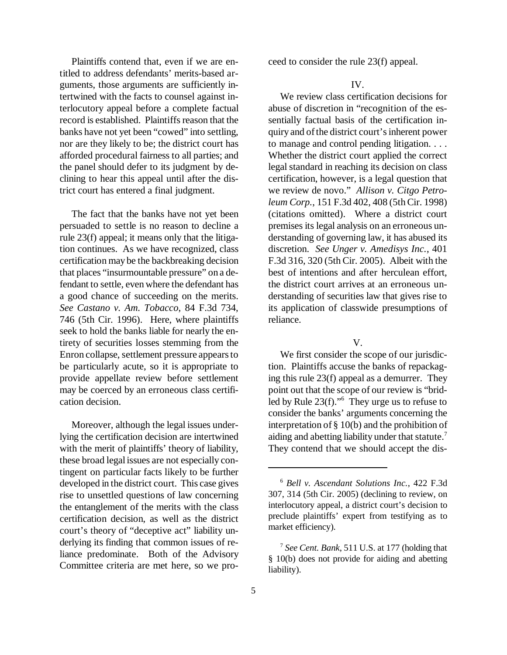Plaintiffs contend that, even if we are entitled to address defendants' merits-based arguments, those arguments are sufficiently intertwined with the facts to counsel against interlocutory appeal before a complete factual record is established. Plaintiffs reason that the banks have not yet been "cowed" into settling, nor are they likely to be; the district court has afforded procedural fairness to all parties; and the panel should defer to its judgment by declining to hear this appeal until after the district court has entered a final judgment.

The fact that the banks have not yet been persuaded to settle is no reason to decline a rule 23(f) appeal; it means only that the litigation continues. As we have recognized, class certification may be the backbreaking decision that places "insurmountable pressure" on a defendant to settle, even where the defendant has a good chance of succeeding on the merits. *See Castano v. Am. Tobacco*, 84 F.3d 734, 746 (5th Cir. 1996). Here, where plaintiffs seek to hold the banks liable for nearly the entirety of securities losses stemming from the Enron collapse, settlement pressure appears to be particularly acute, so it is appropriate to provide appellate review before settlement may be coerced by an erroneous class certification decision.

Moreover, although the legal issues underlying the certification decision are intertwined with the merit of plaintiffs' theory of liability, these broad legal issues are not especially contingent on particular facts likely to be further developed in the district court. This case gives rise to unsettled questions of law concerning the entanglement of the merits with the class certification decision, as well as the district court's theory of "deceptive act" liability underlying its finding that common issues of reliance predominate. Both of the Advisory Committee criteria are met here, so we proceed to consider the rule 23(f) appeal.

### IV.

We review class certification decisions for abuse of discretion in "recognition of the essentially factual basis of the certification inquiry and ofthe district court'sinherent power to manage and control pending litigation. . . . Whether the district court applied the correct legal standard in reaching its decision on class certification, however, is a legal question that we review de novo." *Allison v. Citgo Petroleum Corp.*, 151 F.3d 402, 408 (5thCir. 1998) (citations omitted). Where a district court premises its legal analysis on an erroneous understanding of governing law, it has abused its discretion. *See Unger v. Amedisys Inc.*, 401 F.3d 316, 320 (5th Cir. 2005). Albeit with the best of intentions and after herculean effort, the district court arrives at an erroneous understanding of securities law that gives rise to its application of classwide presumptions of reliance.

## V.

We first consider the scope of our jurisdiction. Plaintiffs accuse the banks of repackaging this rule 23(f) appeal as a demurrer. They point out that the scope of our review is "bridled by Rule 23(f)."<sup>6</sup> They urge us to refuse to consider the banks' arguments concerning the interpretation of § 10(b) and the prohibition of aiding and abetting liability under that statute.<sup>7</sup> They contend that we should accept the dis-

<sup>6</sup> *Bell v. Ascendant Solutions Inc.*, 422 F.3d 307, 314 (5th Cir. 2005) (declining to review, on interlocutory appeal, a district court's decision to preclude plaintiffs' expert from testifying as to market efficiency).

<sup>7</sup> *See Cent. Bank*, 511 U.S. at 177 (holding that § 10(b) does not provide for aiding and abetting liability).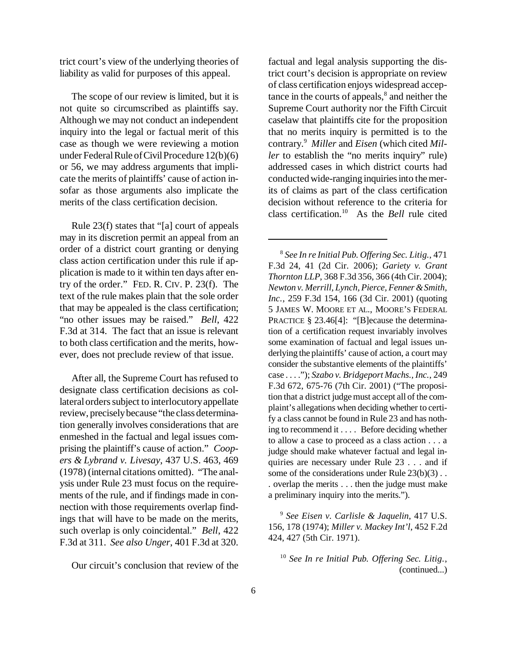trict court's view of the underlying theories of liability as valid for purposes of this appeal.

The scope of our review is limited, but it is not quite so circumscribed as plaintiffs say. Although we may not conduct an independent inquiry into the legal or factual merit of this case as though we were reviewing a motion under Federal Rule of Civil Procedure  $12(b)(6)$ or 56, we may address arguments that implicate the merits of plaintiffs' cause of action insofar as those arguments also implicate the merits of the class certification decision.

Rule 23(f) states that "[a] court of appeals may in its discretion permit an appeal from an order of a district court granting or denying class action certification under this rule if application is made to it within ten days after entry of the order." FED. R. CIV. P. 23(f). The text of the rule makes plain that the sole order that may be appealed is the class certification; "no other issues may be raised." *Bell*, 422 F.3d at 314. The fact that an issue is relevant to both class certification and the merits, however, does not preclude review of that issue.

After all, the Supreme Court has refused to designate class certification decisions as collateral orders subject to interlocutory appellate review, preciselybecause "the class determination generally involves considerations that are enmeshed in the factual and legal issues comprising the plaintiff's cause of action." *Coopers & Lybrand v. Livesay*, 437 U.S. 463, 469 (1978) (internal citations omitted). "The analysis under Rule 23 must focus on the requirements of the rule, and if findings made in connection with those requirements overlap findings that will have to be made on the merits, such overlap is only coincidental." *Bell*, 422 F.3d at 311. *See also Unger*, 401 F.3d at 320.

Our circuit's conclusion that review of the

factual and legal analysis supporting the district court's decision is appropriate on review of class certification enjoys widespread acceptance in the courts of appeals, $<sup>8</sup>$  and neither the</sup> Supreme Court authority nor the Fifth Circuit caselaw that plaintiffs cite for the proposition that no merits inquiry is permitted is to the contrary. <sup>9</sup> *Miller* and *Eisen* (which cited *Miller* to establish the "no merits inquiry" rule) addressed cases in which district courts had conducted wide-ranging inquiries into the merits of claims as part of the class certification decision without reference to the criteria for class certification.<sup>10</sup> As the *Bell* rule cited

8 *See In re Initial Pub. Offering Sec. Litig.*, 471 F.3d 24, 41 (2d Cir. 2006); *Gariety v. Grant Thornton LLP*, 368 F.3d 356, 366 (4th Cir. 2004); *Newton v. Merrill, Lynch, Pierce, Fenner&Smith, Inc.*, 259 F.3d 154, 166 (3d Cir. 2001) (quoting 5 JAMES W. MOORE ET AL., MOORE'S FEDERAL PRACTICE § 23.46[4]: "[B]ecause the determination of a certification request invariably involves some examination of factual and legal issues underlying the plaintiffs' cause of action, a court may consider the substantive elements of the plaintiffs' case . . . ."); *Szabo v. Bridgeport Machs., Inc.*, 249 F.3d 672, 675-76 (7th Cir. 2001) ("The proposition that a district judgemust accept all of the complaint's allegations when deciding whether to certify a class cannot be found in Rule 23 and has nothing to recommend it . . . . Before deciding whether to allow a case to proceed as a class action . . . a judge should make whatever factual and legal inquiries are necessary under Rule 23 . . . and if some of the considerations under Rule 23(b)(3). . overlap the merits . . . then the judge must make a preliminary inquiry into the merits.").

9 *See Eisen v. Carlisle & Jaquelin*, 417 U.S. 156, 178 (1974); *Miller v. Mackey Int'l*, 452 F.2d 424, 427 (5th Cir. 1971).

10 *See In re Initial Pub. Offering Sec. Litig.*, (continued...)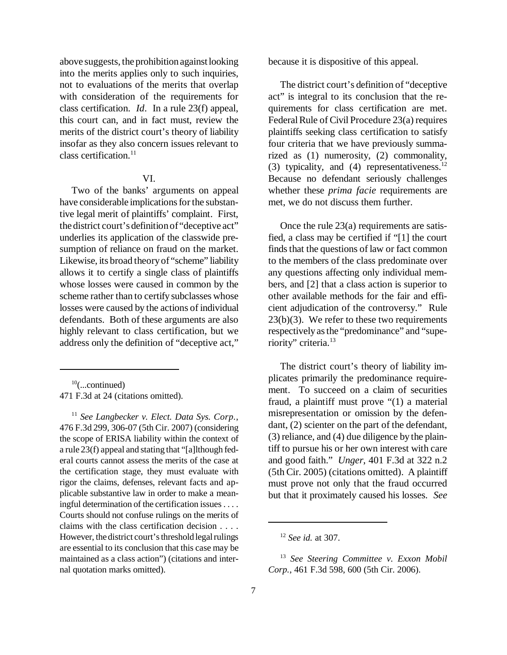above suggests, the prohibition against looking into the merits applies only to such inquiries, not to evaluations of the merits that overlap with consideration of the requirements for class certification. *Id*. In a rule 23(f) appeal, this court can, and in fact must, review the merits of the district court's theory of liability insofar as they also concern issues relevant to  $class$  certification<sup>11</sup>

## VI.

Two of the banks' arguments on appeal have considerable implications for the substantive legal merit of plaintiffs' complaint. First, the district court's definitionof"deceptive act" underlies its application of the classwide presumption of reliance on fraud on the market. Likewise, its broad theoryof "scheme" liability allows it to certify a single class of plaintiffs whose losses were caused in common by the scheme rather than to certify subclasses whose losses were caused by the actions of individual defendants. Both of these arguments are also highly relevant to class certification, but we address only the definition of "deceptive act,"

 $10$ (...continued) 471 F.3d at 24 (citations omitted).

11 *See Langbecker v. Elect. Data Sys. Corp.*, 476 F.3d 299, 306-07 (5th Cir. 2007) (considering the scope of ERISA liability within the context of a rule 23(f) appeal and stating that "[a]lthough federal courts cannot assess the merits of the case at the certification stage, they must evaluate with rigor the claims, defenses, relevant facts and applicable substantive law in order to make a meaningful determination of the certification issues . . . . Courts should not confuse rulings on the merits of claims with the class certification decision . . . . However, the district court's threshold legal rulings are essential to its conclusion that this case may be maintained as a class action") (citations and internal quotation marks omitted).

because it is dispositive of this appeal.

The district court's definition of "deceptive act" is integral to its conclusion that the requirements for class certification are met. Federal Rule of Civil Procedure 23(a) requires plaintiffs seeking class certification to satisfy four criteria that we have previously summarized as (1) numerosity, (2) commonality, (3) typicality, and (4) representativeness.<sup>12</sup> Because no defendant seriously challenges whether these *prima facie* requirements are met, we do not discuss them further.

Once the rule 23(a) requirements are satisfied, a class may be certified if "[1] the court finds that the questions of law or fact common to the members of the class predominate over any questions affecting only individual members, and [2] that a class action is superior to other available methods for the fair and efficient adjudication of the controversy." Rule 23(b)(3). We refer to these two requirements respectivelyasthe "predominance" and "superiority" criteria.<sup>13</sup>

The district court's theory of liability implicates primarily the predominance requirement. To succeed on a claim of securities fraud, a plaintiff must prove "(1) a material misrepresentation or omission by the defendant, (2) scienter on the part of the defendant, (3) reliance, and (4) due diligence by the plaintiff to pursue his or her own interest with care and good faith." *Unger*, 401 F.3d at 322 n.2 (5th Cir. 2005) (citations omitted). A plaintiff must prove not only that the fraud occurred but that it proximately caused his losses. *See*

<sup>12</sup> *See id.* at 307.

<sup>13</sup> *See Steering Committee v. Exxon Mobil Corp.*, 461 F.3d 598, 600 (5th Cir. 2006).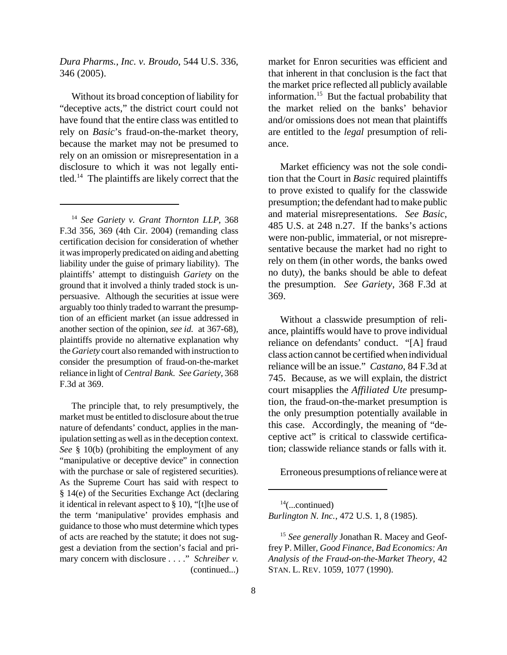*Dura Pharms., Inc. v. Broudo*, 544 U.S. 336, 346 (2005).

Without its broad conception of liability for "deceptive acts," the district court could not have found that the entire class was entitled to rely on *Basic*'s fraud-on-the-market theory, because the market may not be presumed to rely on an omission or misrepresentation in a disclosure to which it was not legally entitled.<sup>14</sup> The plaintiffs are likely correct that the

<sup>14</sup> *See Gariety v. Grant Thornton LLP*, 368 F.3d 356, 369 (4th Cir. 2004) (remanding class certification decision for consideration of whether it wasimproperly predicated on aiding and abetting liability under the guise of primary liability). The plaintiffs' attempt to distinguish *Gariety* on the ground that it involved a thinly traded stock is unpersuasive. Although the securities at issue were arguably too thinly traded to warrant the presumption of an efficient market (an issue addressed in another section of the opinion, *see id.* at 367-68), plaintiffs provide no alternative explanation why the*Gariety* court also remanded with instruction to consider the presumption of fraud-on-the-market reliance in light of *Central Bank*. *See Gariety*, 368 F.3d at 369.

The principle that, to rely presumptively, the market must be entitled to disclosure about the true nature of defendants' conduct, applies in the manipulation setting as well as in the deception context. *See* § 10(b) (prohibiting the employment of any "manipulative or deceptive device" in connection with the purchase or sale of registered securities). As the Supreme Court has said with respect to § 14(e) of the Securities Exchange Act (declaring it identical in relevant aspect to § 10), "[t]he use of the term 'manipulative' provides emphasis and guidance to those who must determine which types of acts are reached by the statute; it does not suggest a deviation from the section's facial and primary concern with disclosure . . . ." *Schreiber v.* (continued...) market for Enron securities was efficient and that inherent in that conclusion is the fact that the market price reflected all publicly available information.<sup>15</sup> But the factual probability that the market relied on the banks' behavior and/or omissions does not mean that plaintiffs are entitled to the *legal* presumption of reliance.

Market efficiency was not the sole condition that the Court in *Basic* required plaintiffs to prove existed to qualify for the classwide presumption; the defendant had to make public and material misrepresentations. *See Basic*, 485 U.S. at 248 n.27. If the banks's actions were non-public, immaterial, or not misrepresentative because the market had no right to rely on them (in other words, the banks owed no duty), the banks should be able to defeat the presumption. *See Gariety*, 368 F.3d at 369.

Without a classwide presumption of reliance, plaintiffs would have to prove individual reliance on defendants' conduct. "[A] fraud class action cannot be certified when individual reliance will be an issue." *Castano*, 84 F.3d at 745. Because, as we will explain, the district court misapplies the *Affiliated Ute* presumption, the fraud-on-the-market presumption is the only presumption potentially available in this case. Accordingly, the meaning of "deceptive act" is critical to classwide certification; classwide reliance stands or falls with it.

Erroneous presumptions ofreliancewere at

 $14$ (...continued) *Burlington N. Inc.*, 472 U.S. 1, 8 (1985).

<sup>15</sup> *See generally* Jonathan R. Macey and Geoffrey P. Miller, *Good Finance, Bad Economics: An Analysis of the Fraud-on-the-Market Theory*, 42 STAN. L. REV. 1059, 1077 (1990).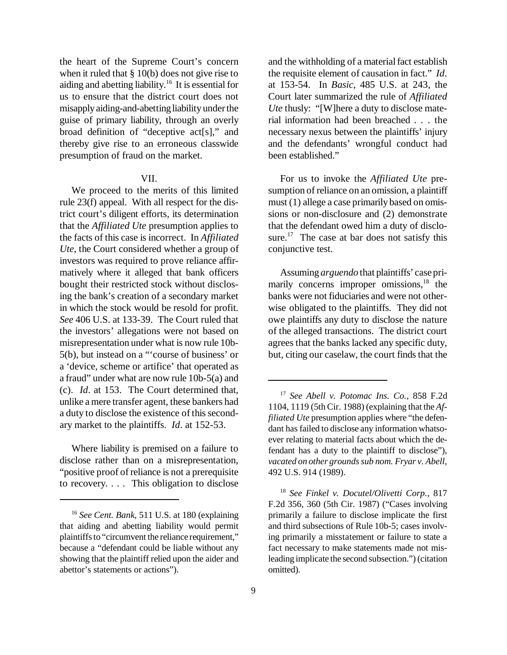the heart of the Supreme Court's concern when it ruled that § 10(b) does not give rise to aiding and abetting liability.<sup>16</sup> It is essential for us to ensure that the district court does not misapply aiding-and-abetting liability under the guise of primary liability, through an overly broad definition of "deceptive act[s]," and thereby give rise to an erroneous classwide presumption of fraud on the market.

### VII.

We proceed to the merits of this limited rule 23(f) appeal. With all respect for the district court's diligent efforts, its determination that the *Affiliated Ute* presumption applies to the facts of this case is incorrect. In *Affiliated Ute*, the Court considered whether a group of investors was required to prove reliance affirmatively where it alleged that bank officers bought their restricted stock without disclosing the bank's creation of a secondary market in which the stock would be resold for profit. *See* 406 U.S. at 133-39. The Court ruled that the investors' allegations were not based on misrepresentation under what is now rule 10b-5(b), but instead on a "'course of business' or a 'device, scheme or artifice' that operated as a fraud" under what are now rule 10b-5(a) and (c). *Id*. at 153. The Court determined that, unlike a mere transfer agent, these bankers had a duty to disclose the existence of this secondary market to the plaintiffs. *Id*. at 152-53.

Where liability is premised on a failure to disclose rather than on a misrepresentation, "positive proof of reliance is not a prerequisite to recovery. . . . This obligation to disclose and the withholding of a material fact establish the requisite element of causation in fact." *Id*. at 153-54. In *Basic*, 485 U.S. at 243, the Court later summarized the rule of *Affiliated Ute* thusly: "[W]here a duty to disclose material information had been breached . . . the necessary nexus between the plaintiffs' injury and the defendants' wrongful conduct had been established."

For us to invoke the *Affiliated Ute* presumption of reliance on an omission, a plaintiff must (1) allege a case primarily based on omissions or non-disclosure and (2) demonstrate that the defendant owed him a duty of disclosure.<sup>17</sup> The case at bar does not satisfy this conjunctive test.

Assuming *arguendo* that plaintiffs' case primarily concerns improper omissions,<sup>18</sup> the banks were not fiduciaries and were not otherwise obligated to the plaintiffs. They did not owe plaintiffs any duty to disclose the nature of the alleged transactions. The district court agrees that the banks lacked any specific duty, but, citing our caselaw, the court finds that the

<sup>18</sup> *See Finkel v. Docutel/Olivetti Corp.*, 817 F.2d 356, 360 (5th Cir. 1987) ("Cases involving primarily a failure to disclose implicate the first and third subsections of Rule 10b-5; cases involving primarily a misstatement or failure to state a fact necessary to make statements made not misleading implicate the second subsection.")(citation omitted).

<sup>16</sup> *See Cent. Bank*, 511 U.S. at 180 (explaining that aiding and abetting liability would permit plaintiffs to "circumvent the reliance requirement," because a "defendant could be liable without any showing that the plaintiff relied upon the aider and abettor's statements or actions").

<sup>17</sup> *See Abell v. Potomac Ins. Co.*, 858 F.2d 1104, 1119 (5th Cir. 1988) (explaining that the *Affiliated Ute* presumption applies where "the defendant has failed to disclose any information whatsoever relating to material facts about which the defendant has a duty to the plaintiff to disclose"), *vacated on other groundssub nom. Fryar v. Abell*, 492 U.S. 914 (1989).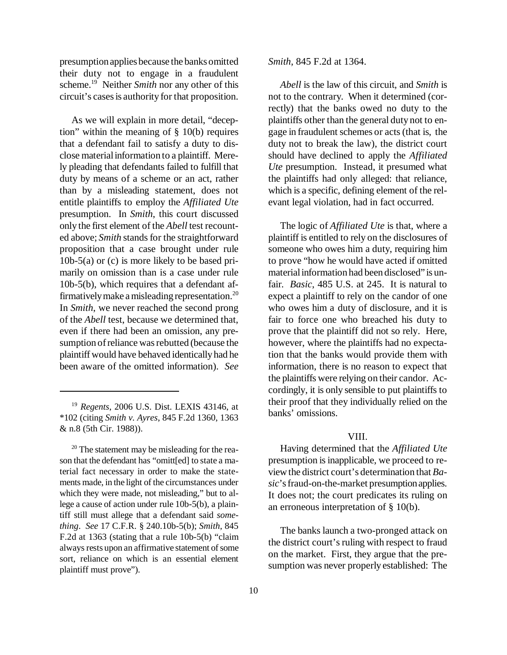presumptionapplies because the banks omitted their duty not to engage in a fraudulent scheme.<sup>19</sup> Neither *Smith* nor any other of this circuit's casesis authority for that proposition.

As we will explain in more detail, "deception" within the meaning of § 10(b) requires that a defendant fail to satisfy a duty to disclose materialinformation to a plaintiff. Merely pleading that defendants failed to fulfill that duty by means of a scheme or an act, rather than by a misleading statement, does not entitle plaintiffs to employ the *Affiliated Ute* presumption. In *Smith*, this court discussed only the first element of the *Abell* test recounted above; *Smith* stands for the straightforward proposition that a case brought under rule 10b-5(a) or (c) is more likely to be based primarily on omission than is a case under rule 10b-5(b), which requires that a defendant affirmativelymake amisleading representation.<sup>20</sup> In *Smith*, we never reached the second prong of the *Abell* test, because we determined that, even if there had been an omission, any presumption of reliance was rebutted (because the plaintiff would have behaved identicallyhad he been aware of the omitted information). *See*

<sup>20</sup> The statement may be misleading for the reason that the defendant has "omitt[ed] to state a material fact necessary in order to make the statements made, in the light of the circumstances under which they were made, not misleading," but to allege a cause of action under rule 10b-5(b), a plaintiff still must allege that a defendant said *something*. *See* 17 C.F.R. § 240.10b-5(b); *Smith*, 845 F.2d at 1363 (stating that a rule 10b-5(b) "claim always rests upon an affirmative statement of some sort, reliance on which is an essential element plaintiff must prove").

*Smith*, 845 F.2d at 1364.

*Abell* is the law of this circuit, and *Smith* is not to the contrary. When it determined (correctly) that the banks owed no duty to the plaintiffs other than the general duty not to engage in fraudulent schemes or acts(that is, the duty not to break the law), the district court should have declined to apply the *Affiliated Ute* presumption. Instead, it presumed what the plaintiffs had only alleged: that reliance, which is a specific, defining element of the relevant legal violation, had in fact occurred.

The logic of *Affiliated Ute* is that, where a plaintiff is entitled to rely on the disclosures of someone who owes him a duty, requiring him to prove "how he would have acted if omitted materialinformation had been disclosed" is unfair. *Basic*, 485 U.S. at 245. It is natural to expect a plaintiff to rely on the candor of one who owes him a duty of disclosure, and it is fair to force one who breached his duty to prove that the plaintiff did not so rely. Here, however, where the plaintiffs had no expectation that the banks would provide them with information, there is no reason to expect that the plaintiffs were relying on their candor. Accordingly, it is only sensible to put plaintiffs to their proof that they individually relied on the banks' omissions.

#### VIII.

Having determined that the *Affiliated Ute* presumption is inapplicable, we proceed to reviewthe district court's determination that *Basic*'sfraud-on-the-market presumption applies. It does not; the court predicates its ruling on an erroneous interpretation of § 10(b).

The banks launch a two-pronged attack on the district court's ruling with respect to fraud on the market. First, they argue that the presumption was never properly established: The

<sup>19</sup> *Regents*, 2006 U.S. Dist. LEXIS 43146, at \*102 (citing *Smith v. Ayres*, 845 F.2d 1360, 1363 & n.8 (5th Cir. 1988)).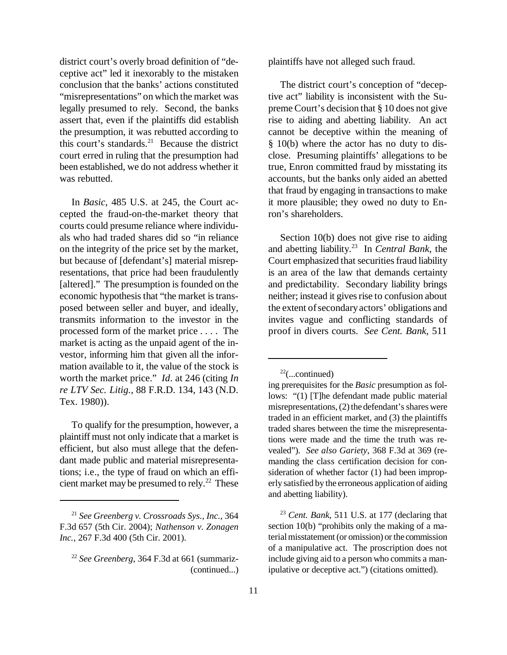district court's overly broad definition of "deceptive act" led it inexorably to the mistaken conclusion that the banks' actions constituted "misrepresentations" on which the market was legally presumed to rely. Second, the banks assert that, even if the plaintiffs did establish the presumption, it was rebutted according to this court's standards.<sup>21</sup> Because the district court erred in ruling that the presumption had been established, we do not address whether it was rebutted.

In *Basic*, 485 U.S. at 245, the Court accepted the fraud-on-the-market theory that courts could presume reliance where individuals who had traded shares did so "in reliance on the integrity of the price set by the market, but because of [defendant's] material misrepresentations, that price had been fraudulently [altered]." The presumption is founded on the economic hypothesis that "the market is transposed between seller and buyer, and ideally, transmits information to the investor in the processed form of the market price . . . . The market is acting as the unpaid agent of the investor, informing him that given all the information available to it, the value of the stock is worth the market price." *Id*. at 246 (citing *In re LTV Sec. Litig.*, 88 F.R.D. 134, 143 (N.D. Tex. 1980)).

To qualify for the presumption, however, a plaintiff must not only indicate that a market is efficient, but also must allege that the defendant made public and material misrepresentations; i.e., the type of fraud on which an efficient market may be presumed to rely.<sup>22</sup> These plaintiffs have not alleged such fraud.

The district court's conception of "deceptive act" liability is inconsistent with the Supreme Court's decision that § 10 does not give rise to aiding and abetting liability. An act cannot be deceptive within the meaning of § 10(b) where the actor has no duty to disclose. Presuming plaintiffs' allegations to be true, Enron committed fraud by misstating its accounts, but the banks only aided an abetted that fraud by engaging in transactionsto make it more plausible; they owed no duty to Enron's shareholders.

Section 10(b) does not give rise to aiding and abetting liability.<sup>23</sup> In *Central Bank*, the Court emphasized that securities fraud liability is an area of the law that demands certainty and predictability. Secondary liability brings neither; instead it gives rise to confusion about the extent of secondary actors' obligations and invites vague and conflicting standards of proof in divers courts. *See Cent. Bank*, 511

<sup>23</sup> *Cent. Bank*, 511 U.S. at 177 (declaring that section 10(b) "prohibits only the making of a material misstatement (or omission) or the commission of a manipulative act. The proscription does not include giving aid to a person who commits a manipulative or deceptive act.") (citations omitted).

<sup>21</sup> *See Greenberg v. Crossroads Sys., Inc.*, 364 F.3d 657 (5th Cir. 2004); *Nathenson v. Zonagen Inc.*, 267 F.3d 400 (5th Cir. 2001).

<sup>22</sup> *See Greenberg*, 364 F.3d at 661 (summariz- (continued...)

 $22$ (...continued)

ing prerequisites for the *Basic* presumption as follows: "(1) [T]he defendant made public material misrepresentations, (2) the defendant's shares were traded in an efficient market, and (3) the plaintiffs traded shares between the time the misrepresentations were made and the time the truth was revealed"). *See also Gariety*, 368 F.3d at 369 (remanding the class certification decision for consideration of whether factor (1) had been improperly satisfied by the erroneous application of aiding and abetting liability).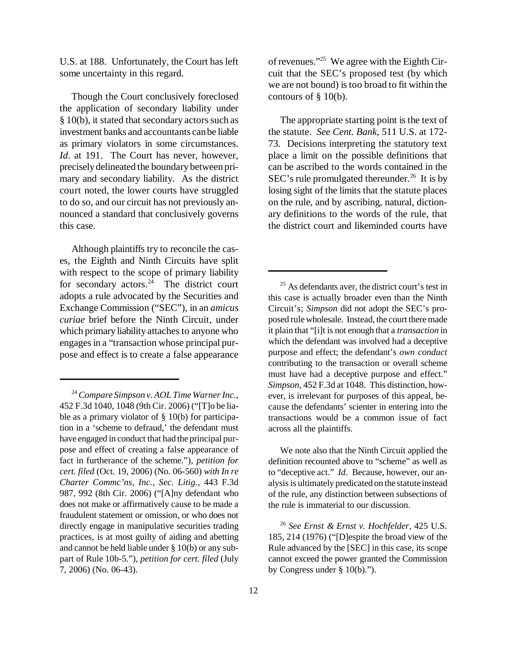U.S. at 188. Unfortunately, the Court has left some uncertainty in this regard.

Though the Court conclusively foreclosed the application of secondary liability under  $§ 10(b)$ , it stated that secondary actors such as investment banks and accountants canbe liable as primary violators in some circumstances. *Id.* at 191. The Court has never, however, preciselydelineated the boundary between primary and secondary liability. As the district court noted, the lower courts have struggled to do so, and our circuit has not previously announced a standard that conclusively governs this case.

Although plaintiffs try to reconcile the cases, the Eighth and Ninth Circuits have split with respect to the scope of primary liability for secondary actors. $24$  The district court adopts a rule advocated by the Securities and Exchange Commission ("SEC"), in an *amicus curiae* brief before the Ninth Circuit, under which primary liability attaches to anyone who engages in a "transaction whose principal purpose and effect is to create a false appearance of revenues."<sup>25</sup> We agree with the Eighth Circuit that the SEC's proposed test (by which we are not bound) istoo broad to fit within the contours of § 10(b).

The appropriate starting point is the text of the statute. *See Cent. Bank*, 511 U.S. at 172- 73. Decisions interpreting the statutory text place a limit on the possible definitions that can be ascribed to the words contained in the SEC's rule promulgated thereunder.<sup>26</sup> It is by losing sight of the limits that the statute places on the rule, and by ascribing, natural, dictionary definitions to the words of the rule, that the district court and likeminded courts have

We note also that the Ninth Circuit applied the definition recounted above to "scheme" as well as to "deceptive act." *Id*. Because, however, our analysis is ultimately predicated on the statute instead of the rule, any distinction between subsections of the rule is immaterial to our discussion.

<sup>26</sup> *See Ernst & Ernst v. Hochfelder*, 425 U.S. 185, 214 (1976) ("[D]espite the broad view of the Rule advanced by the [SEC] in this case, its scope cannot exceed the power granted the Commission by Congress under § 10(b).").

<sup>24</sup> *Compare Simpson v. AOL Time WarnerInc.*, 452 F.3d 1040, 1048 (9th Cir. 2006) ("[T]o be liable as a primary violator of  $\S$  10(b) for participation in a 'scheme to defraud,' the defendant must have engaged in conduct that had the principal purpose and effect of creating a false appearance of fact in furtherance of the scheme."), *petition for cert. filed* (Oct. 19, 2006) (No. 06-560) *with In re Charter Commc'ns, Inc., Sec. Litig.*, 443 F.3d 987, 992 (8th Cir. 2006) ("[A]ny defendant who does not make or affirmatively cause to be made a fraudulent statement or omission, or who does not directly engage in manipulative securities trading practices, is at most guilty of aiding and abetting and cannot be held liable under § 10(b) or any subpart of Rule 10b-5."), *petition for cert. filed* (July 7, 2006) (No. 06-43).

 $25$  As defendants aver, the district court's test in this case is actually broader even than the Ninth Circuit's; *Simpson* did not adopt the SEC's proposed rulewholesale. Instead, the court there made it plain that "[i]t is not enough that a *transaction* in which the defendant was involved had a deceptive purpose and effect; the defendant's *own conduct* contributing to the transaction or overall scheme must have had a deceptive purpose and effect." *Simpson*, 452 F.3d at 1048. This distinction, however, is irrelevant for purposes of this appeal, because the defendants' scienter in entering into the transactions would be a common issue of fact across all the plaintiffs.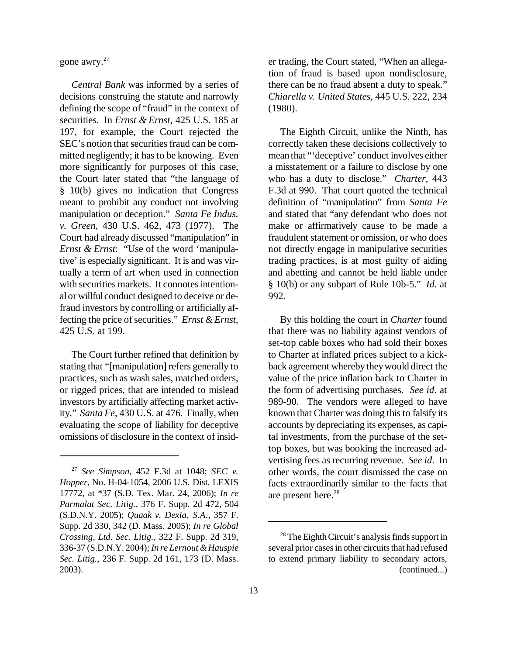gone awry.<sup>27</sup>

*Central Bank* was informed by a series of decisions construing the statute and narrowly defining the scope of "fraud" in the context of securities. In *Ernst & Ernst*, 425 U.S. 185 at 197, for example, the Court rejected the SEC's notion that securities fraud can be committed negligently; it has to be knowing. Even more significantly for purposes of this case, the Court later stated that "the language of § 10(b) gives no indication that Congress meant to prohibit any conduct not involving manipulation or deception." *Santa Fe Indus. v. Green*, 430 U.S. 462, 473 (1977). The Court had already discussed "manipulation" in *Ernst & Ernst*: "Use of the word 'manipulative' is especially significant. It is and was virtually a term of art when used in connection with securities markets. It connotes intentionalor willful conduct designed to deceive or defraud investors by controlling or artificially affecting the price of securities." *Ernst & Ernst*, 425 U.S. at 199.

The Court further refined that definition by stating that "[manipulation] refers generally to practices, such as wash sales, matched orders, or rigged prices, that are intended to mislead investors by artificially affecting market activity." *Santa Fe*, 430 U.S. at 476. Finally, when evaluating the scope of liability for deceptive omissions of disclosure in the context of insider trading, the Court stated, "When an allegation of fraud is based upon nondisclosure, there can be no fraud absent a duty to speak." *Chiarella v. United States*, 445 U.S. 222, 234 (1980).

The Eighth Circuit, unlike the Ninth, has correctly taken these decisions collectively to mean that "'deceptive' conduct involves either a misstatement or a failure to disclose by one who has a duty to disclose." *Charter*, 443 F.3d at 990. That court quoted the technical definition of "manipulation" from *Santa Fe* and stated that "any defendant who does not make or affirmatively cause to be made a fraudulent statement or omission, or who does not directly engage in manipulative securities trading practices, is at most guilty of aiding and abetting and cannot be held liable under § 10(b) or any subpart of Rule 10b-5." *Id*. at 992.

By this holding the court in *Charter* found that there was no liability against vendors of set-top cable boxes who had sold their boxes to Charter at inflated prices subject to a kickback agreement wherebytheywould direct the value of the price inflation back to Charter in the form of advertising purchases. *See id*. at 989-90. The vendors were alleged to have known that Charter was doing this to falsify its accounts by depreciating its expenses, as capital investments, from the purchase of the settop boxes, but was booking the increased advertising fees as recurring revenue. *See id*. In other words, the court dismissed the case on facts extraordinarily similar to the facts that are present here.<sup>28</sup>

<sup>27</sup> *See Simpson*, 452 F.3d at 1048; *SEC v. Hopper*, No. H-04-1054, 2006 U.S. Dist. LEXIS 17772, at \*37 (S.D. Tex. Mar. 24, 2006); *In re Parmalat Sec. Litig.*, 376 F. Supp. 2d 472, 504 (S.D.N.Y. 2005); *Quaak v. Dexia, S.A.*, 357 F. Supp. 2d 330, 342 (D. Mass. 2005); *In re Global Crossing, Ltd. Sec. Litig.*, 322 F. Supp. 2d 319, 336-37 (S.D.N.Y. 2004)*;In re Lernout &Hauspie Sec. Litig.*, 236 F. Supp. 2d 161, 173 (D. Mass. 2003).

 $28$  The Eighth Circuit's analysis finds support in several prior cases in other circuits that had refused to extend primary liability to secondary actors, (continued...)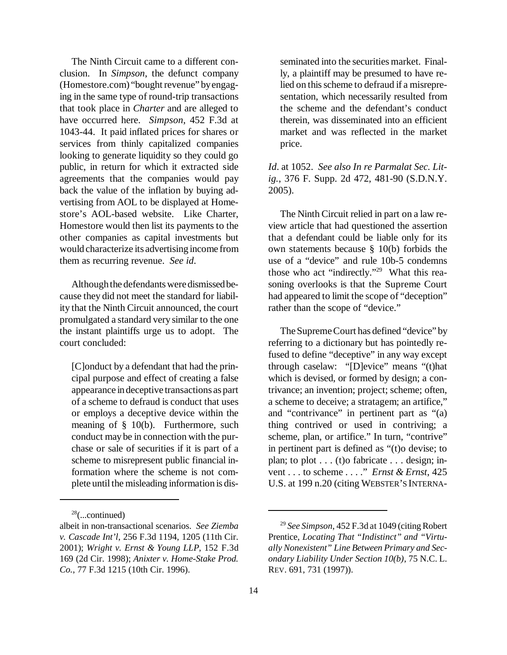The Ninth Circuit came to a different conclusion. In *Simpson*, the defunct company (Homestore.com) "bought revenue" by engaging in the same type of round-trip transactions that took place in *Charter* and are alleged to have occurred here. *Simpson*, 452 F.3d at 1043-44. It paid inflated prices for shares or services from thinly capitalized companies looking to generate liquidity so they could go public, in return for which it extracted side agreements that the companies would pay back the value of the inflation by buying advertising from AOL to be displayed at Homestore's AOL-based website. Like Charter, Homestore would then list its payments to the other companies as capital investments but would characterize its advertising income from them as recurring revenue. *See id*.

Although the defendants were dismissed because they did not meet the standard for liability that the Ninth Circuit announced, the court promulgated a standard very similar to the one the instant plaintiffs urge us to adopt. The court concluded:

[C]onduct by a defendant that had the principal purpose and effect of creating a false appearance indeceptive transactions as part of a scheme to defraud is conduct that uses or employs a deceptive device within the meaning of § 10(b). Furthermore, such conduct may be in connection with the purchase or sale of securities if it is part of a scheme to misrepresent public financial information where the scheme is not complete until the misleading information is dis-

 $28$ (...continued)

seminated into the securities market. Finally, a plaintiff may be presumed to have relied on this scheme to defraud if a misrepresentation, which necessarily resulted from the scheme and the defendant's conduct therein, was disseminated into an efficient market and was reflected in the market price.

*Id*. at 1052. *See also In re Parmalat Sec. Litig.*, 376 F. Supp. 2d 472, 481-90 (S.D.N.Y. 2005).

The Ninth Circuit relied in part on a law review article that had questioned the assertion that a defendant could be liable only for its own statements because § 10(b) forbids the use of a "device" and rule 10b-5 condemns those who act "indirectly."<sup>29</sup> What this reasoning overlooks is that the Supreme Court had appeared to limit the scope of "deception" rather than the scope of "device."

The Supreme Court has defined "device" by referring to a dictionary but has pointedly refused to define "deceptive" in any way except through caselaw: "[D]evice" means "(t)hat which is devised, or formed by design; a contrivance; an invention; project; scheme; often, a scheme to deceive; a stratagem; an artifice," and "contrivance" in pertinent part as "(a) thing contrived or used in contriving; a scheme, plan, or artifice." In turn, "contrive" in pertinent part is defined as "(t)o devise; to plan; to plot . . . (t)o fabricate . . . design; invent . . . to scheme . . . ." *Ernst & Ernst*, 425 U.S. at 199 n.20 (citing WEBSTER'S INTERNA-

albeit in non-transactional scenarios. *See Ziemba v. Cascade Int'l*, 256 F.3d 1194, 1205 (11th Cir. 2001); *Wright v. Ernst & Young LLP*, 152 F.3d 169 (2d Cir. 1998); *Anixter v. Home-Stake Prod. Co.*, 77 F.3d 1215 (10th Cir. 1996).

<sup>29</sup> *See Simpson*, 452 F.3d at 1049 (citingRobert Prentice, *Locating That "Indistinct" and "Virtually Nonexistent" Line Between Primary and Secondary Liability Under Section 10(b)*, 75 N.C. L. REV. 691, 731 (1997)).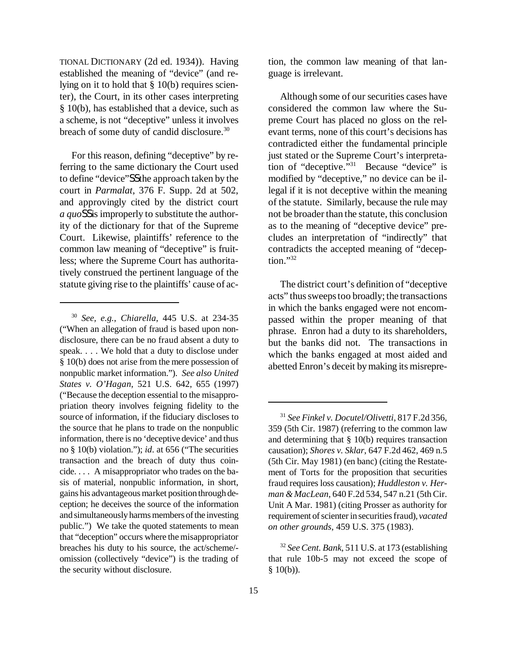TIONAL DICTIONARY (2d ed. 1934)). Having established the meaning of "device" (and relying on it to hold that § 10(b) requires scienter), the Court, in its other cases interpreting § 10(b), has established that a device, such as a scheme, is not "deceptive" unless it involves breach of some duty of candid disclosure.<sup>30</sup>

For this reason, defining "deceptive" by referring to the same dictionary the Court used to define "device"SSthe approach taken by the court in *Parmalat*, 376 F. Supp. 2d at 502, and approvingly cited by the district court *a quo*SSis improperly to substitute the authority of the dictionary for that of the Supreme Court. Likewise, plaintiffs' reference to the common law meaning of "deceptive" is fruitless; where the Supreme Court has authoritatively construed the pertinent language of the statute giving rise to the plaintiffs' cause of action, the common law meaning of that language is irrelevant.

Although some of our securities cases have considered the common law where the Supreme Court has placed no gloss on the relevant terms, none of this court's decisions has contradicted either the fundamental principle just stated or the Supreme Court's interpretation of "deceptive."<sup>31</sup> Because "device" is modified by "deceptive," no device can be illegal if it is not deceptive within the meaning of the statute. Similarly, because the rule may not be broader than the statute, this conclusion as to the meaning of "deceptive device" precludes an interpretation of "indirectly" that contradicts the accepted meaning of "decep $t$ <sub>ion</sub> $,$ <sup>32</sup>

The district court's definition of "deceptive acts" thussweepstoo broadly; the transactions in which the banks engaged were not encompassed within the proper meaning of that phrase. Enron had a duty to its shareholders, but the banks did not. The transactions in which the banks engaged at most aided and abetted Enron's deceit bymaking its misrepre-

<sup>30</sup> *See, e.g.*, *Chiarella*, 445 U.S. at 234-35 ("When an allegation of fraud is based upon nondisclosure, there can be no fraud absent a duty to speak. . . . We hold that a duty to disclose under § 10(b) does not arise from the mere possession of nonpublic market information."). *See also United States v. O'Hagan*, 521 U.S. 642, 655 (1997) ("Because the deception essential to the misappropriation theory involves feigning fidelity to the source of information, if the fiduciary discloses to the source that he plans to trade on the nonpublic information, there is no 'deceptive device' and thus no § 10(b) violation."); *id*. at 656 ("The securities transaction and the breach of duty thus coincide. . . . A misappropriator who trades on the basis of material, nonpublic information, in short, gains his advantageousmarket position through deception; he deceives the source of the information and simultaneously harms members of the investing public.") We take the quoted statements to mean that "deception" occurs where the misappropriator breaches his duty to his source, the act/scheme/ omission (collectively "device") is the trading of the security without disclosure.

<sup>31</sup> *See Finkel v. Docutel/Olivetti*, 817 F.2d 356, 359 (5th Cir. 1987) (referring to the common law and determining that  $\S$  10(b) requires transaction causation); *Shores v. Sklar*, 647 F.2d 462, 469 n.5 (5th Cir. May 1981) (en banc) (citing the Restatement of Torts for the proposition that securities fraud requires loss causation); *Huddleston v. Herman &MacLean*, 640 F.2d 534, 547 n.21 (5th Cir. Unit A Mar. 1981) (citing Prosser as authority for requirement of scienter in securities fraud), *vacated on other grounds*, 459 U.S. 375 (1983).

<sup>32</sup> *SeeCent. Bank*, 511 U.S. at 173 (establishing that rule 10b-5 may not exceed the scope of  $§ 10(b)$ ).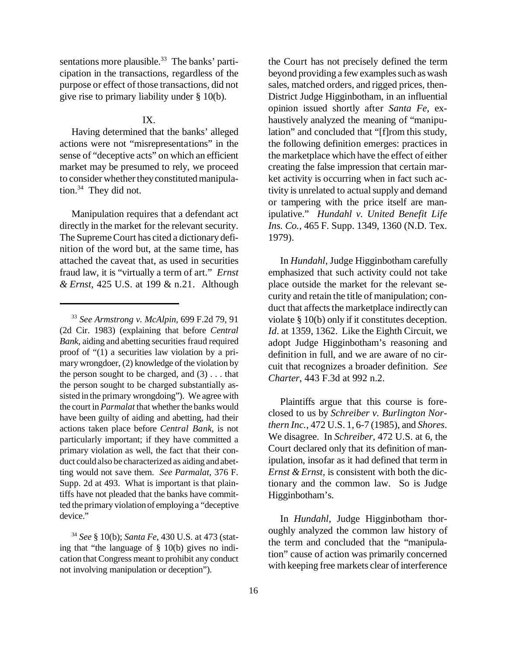sentations more plausible. $33$  The banks' participation in the transactions, regardless of the purpose or effect of those transactions, did not give rise to primary liability under § 10(b).

# IX.

Having determined that the banks' alleged actions were not "misrepresentations" in the sense of "deceptive acts" on which an efficient market may be presumed to rely, we proceed to consider whether they constituted manipulation. $34$  They did not.

Manipulation requires that a defendant act directly in the market for the relevant security. The Supreme Court has cited a dictionary definition of the word but, at the same time, has attached the caveat that, as used in securities fraud law, it is "virtually a term of art." *Ernst & Ernst*, 425 U.S. at 199 & n.21. Although

the Court has not precisely defined the term beyond providing a few examples such as wash sales, matched orders, and rigged prices, then-District Judge Higginbotham, in an influential opinion issued shortly after *Santa Fe*, exhaustively analyzed the meaning of "manipulation" and concluded that "[f]rom this study, the following definition emerges: practices in the marketplace which have the effect of either creating the false impression that certain market activity is occurring when in fact such activity is unrelated to actual supply and demand or tampering with the price itself are manipulative." *Hundahl v. United Benefit Life Ins. Co.*, 465 F. Supp. 1349, 1360 (N.D. Tex. 1979).

In *Hundahl*, Judge Higginbotham carefully emphasized that such activity could not take place outside the market for the relevant security and retain the title of manipulation; conduct that affects the marketplace indirectly can violate § 10(b) only if it constitutes deception. *Id*. at 1359, 1362. Like the Eighth Circuit, we adopt Judge Higginbotham's reasoning and definition in full, and we are aware of no circuit that recognizes a broader definition. *See Charter*, 443 F.3d at 992 n.2.

Plaintiffs argue that this course is foreclosed to us by *Schreiber v. Burlington Northern Inc.*, 472 U.S. 1, 6-7 (1985), and *Shores*. We disagree. In *Schreiber*, 472 U.S. at 6, the Court declared only that its definition of manipulation, insofar as it had defined that term in *Ernst & Ernst*, is consistent with both the dictionary and the common law. So is Judge Higginbotham's.

In *Hundahl*, Judge Higginbotham thoroughly analyzed the common law history of the term and concluded that the "manipulation" cause of action was primarily concerned with keeping free markets clear of interference

<sup>33</sup> *See Armstrong v. McAlpin*, 699 F.2d 79, 91 (2d Cir. 1983) (explaining that before *Central Bank*, aiding and abetting securities fraud required proof of "(1) a securities law violation by a primary wrongdoer, (2) knowledge of the violation by the person sought to be charged, and  $(3)$ ... that the person sought to be charged substantially assisted in the primary wrongdoing"). We agree with the court in *Parmalat* that whether the banks would have been guilty of aiding and abetting, had their actions taken place before *Central Bank*, is not particularly important; if they have committed a primary violation as well, the fact that their conduct could also be characterized as aiding and abetting would not save them. *See Parmalat*, 376 F. Supp. 2d at 493. What is important is that plaintiffs have not pleaded that the banks have committed the primary violation of employing a "deceptive device."

<sup>34</sup> *See* § 10(b); *Santa Fe*, 430 U.S. at 473 (stating that "the language of § 10(b) gives no indication that Congress meant to prohibit any conduct not involving manipulation or deception").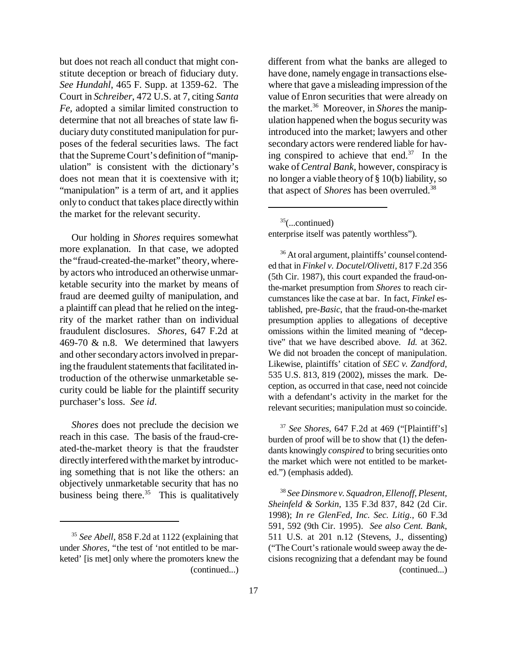but does not reach all conduct that might constitute deception or breach of fiduciary duty. *See Hundahl*, 465 F. Supp. at 1359-62. The Court in *Schreiber*, 472 U.S. at 7, citing *Santa Fe,* adopted a similar limited construction to determine that not all breaches of state law fiduciary duty constituted manipulation for purposes of the federal securities laws. The fact that the SupremeCourt's definition of "manipulation" is consistent with the dictionary's does not mean that it is coextensive with it; "manipulation" is a term of art, and it applies only to conduct that takes place directlywithin the market for the relevant security.

Our holding in *Shores* requires somewhat more explanation. In that case, we adopted the "fraud-created-the-market" theory, whereby actors who introduced an otherwise unmarketable security into the market by means of fraud are deemed guilty of manipulation, and a plaintiff can plead that he relied on the integrity of the market rather than on individual fraudulent disclosures. *Shores*, 647 F.2d at 469-70 & n.8. We determined that lawyers and other secondary actors involved in preparing the fraudulent statements that facilitated introduction of the otherwise unmarketable security could be liable for the plaintiff security purchaser's loss. *See id*.

*Shores* does not preclude the decision we reach in this case. The basis of the fraud-created-the-market theory is that the fraudster directly interfered with the market by introducing something that is not like the others: an objectively unmarketable security that has no business being there. $35$  This is qualitatively different from what the banks are alleged to have done, namely engage in transactions elsewhere that gave a misleading impression of the value of Enron securities that were already on the market.<sup>36</sup> Moreover, in *Shores* the manipulation happened when the bogus security was introduced into the market; lawyers and other secondary actors were rendered liable for having conspired to achieve that end.<sup>37</sup> In the wake of*Central Bank*, however, conspiracy is no longer a viable theory of § 10(b) liability, so that aspect of *Shores* has been overruled.<sup>38</sup>

 $35$ (...continued)

enterprise itself was patently worthless").

<sup>36</sup> At oral argument, plaintiffs' counsel contended that in *Finkel v. Docutel/Olivetti*, 817 F.2d 356 (5th Cir. 1987), this court expanded the fraud-onthe-market presumption from *Shores* to reach circumstances like the case at bar. In fact, *Finkel* established, pre-*Basic*, that the fraud-on-the-market presumption applies to allegations of deceptive omissions within the limited meaning of "deceptive" that we have described above. *Id.* at 362. We did not broaden the concept of manipulation. Likewise, plaintiffs' citation of *SEC v. Zandford*, 535 U.S. 813, 819 (2002), misses the mark. Deception, as occurred in that case, need not coincide with a defendant's activity in the market for the relevant securities; manipulation must so coincide.

<sup>37</sup> *See Shores,* 647 F.2d at 469 ("[Plaintiff's] burden of proof will be to show that (1) the defendants knowingly *conspired* to bring securities onto the market which were not entitled to be marketed.") (emphasis added).

<sup>38</sup> *SeeDinsmore v. Squadron, Ellenoff, Plesent, Sheinfeld & Sorkin*, 135 F.3d 837, 842 (2d Cir. 1998); *In re GlenFed, Inc. Sec. Litig.*, 60 F.3d 591, 592 (9th Cir. 1995). *See also Cent. Bank*, 511 U.S. at 201 n.12 (Stevens, J., dissenting) ("The Court's rationale would sweep away the decisions recognizing that a defendant may be found (continued...)

<sup>35</sup> *See Abell*, 858 F.2d at 1122 (explaining that under *Shores*, "the test of 'not entitled to be marketed' [is met] only where the promoters knew the (continued...)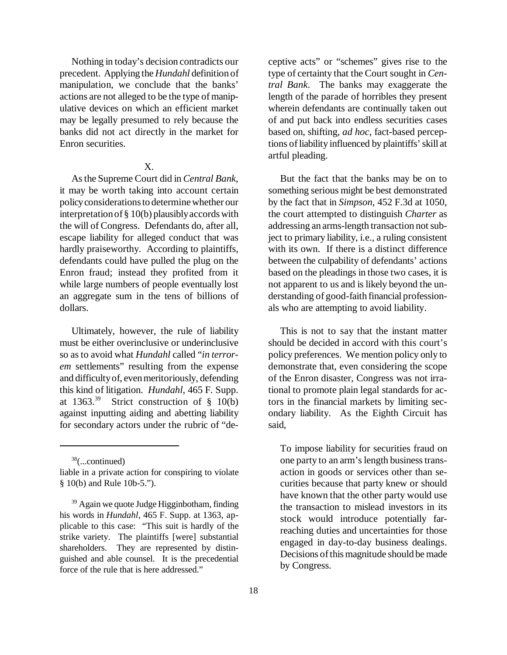Nothing in today's decision contradicts our precedent. Applying the *Hundahl* definition of manipulation, we conclude that the banks' actions are not alleged to be the type of manipulative devices on which an efficient market may be legally presumed to rely because the banks did not act directly in the market for Enron securities.

# X.

Asthe Supreme Court did in *Central Bank*, it may be worth taking into account certain policy considerations to determine whether our interpretationof § 10(b) plausiblyaccordswith the will of Congress. Defendants do, after all, escape liability for alleged conduct that was hardly praiseworthy. According to plaintiffs, defendants could have pulled the plug on the Enron fraud; instead they profited from it while large numbers of people eventually lost an aggregate sum in the tens of billions of dollars.

Ultimately, however, the rule of liability must be either overinclusive or underinclusive so asto avoid what *Hundahl* called "*in terrorem* settlements" resulting from the expense and difficultyof, evenmeritoriously, defending this kind of litigation. *Hundahl*, 465 F. Supp. at  $1363.^{39}$  Strict construction of § 10(b) against inputting aiding and abetting liability for secondary actors under the rubric of "de-

<sup>38</sup>(...continued)

ceptive acts" or "schemes" gives rise to the type of certainty that the Court sought in *Central Bank*. The banks may exaggerate the length of the parade of horribles they present wherein defendants are continually taken out of and put back into endless securities cases based on, shifting, *ad hoc*, fact-based perceptions of liability influenced by plaintiffs' skill at artful pleading.

But the fact that the banks may be on to something serious might be best demonstrated by the fact that in *Simpson*, 452 F.3d at 1050, the court attempted to distinguish *Charter* as addressing an arms-length transaction not subject to primary liability, i.e., a ruling consistent with its own. If there is a distinct difference between the culpability of defendants' actions based on the pleadings in those two cases, it is not apparent to us and is likely beyond the understanding of good-faith financial professionals who are attempting to avoid liability.

This is not to say that the instant matter should be decided in accord with this court's policy preferences. We mention policy only to demonstrate that, even considering the scope of the Enron disaster, Congress was not irrational to promote plain legal standards for actors in the financial markets by limiting secondary liability. As the Eighth Circuit has said,

To impose liability for securities fraud on one party to an arm'slength businesstransaction in goods or services other than securities because that party knew or should have known that the other party would use the transaction to mislead investors in its stock would introduce potentially farreaching duties and uncertainties for those engaged in day-to-day business dealings. Decisions of this magnitude should be made by Congress.

liable in a private action for conspiring to violate § 10(b) and Rule 10b-5.").

 $39$  Again we quote Judge Higginbotham, finding his words in *Hundahl*, 465 F. Supp. at 1363, applicable to this case: "This suit is hardly of the strike variety. The plaintiffs [were] substantial shareholders. They are represented by distinguished and able counsel. It is the precedential force of the rule that is here addressed."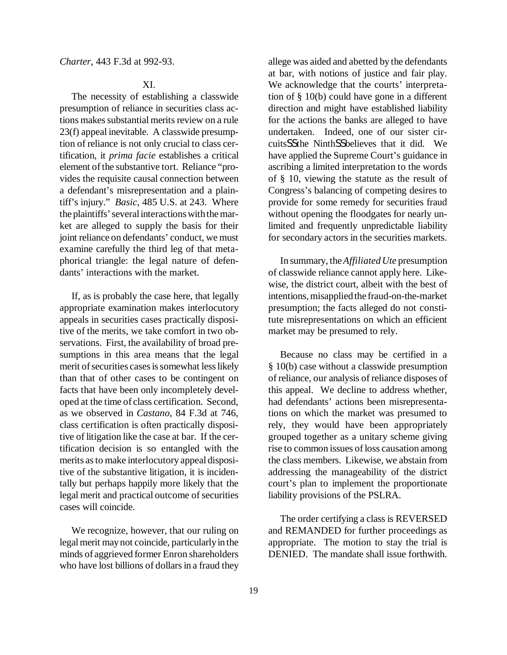# XI.

The necessity of establishing a classwide presumption of reliance in securities class actions makes substantial merits review on a rule 23(f) appeal inevitable. A classwide presumption of reliance is not only crucial to class certification, it *prima facie* establishes a critical element of the substantive tort. Reliance "provides the requisite causal connection between a defendant's misrepresentation and a plaintiff's injury." *Basic*, 485 U.S. at 243. Where the plaintiffs' several interactions with the market are alleged to supply the basis for their joint reliance on defendants' conduct, we must examine carefully the third leg of that metaphorical triangle: the legal nature of defendants' interactions with the market.

If, as is probably the case here, that legally appropriate examination makes interlocutory appeals in securities cases practically dispositive of the merits, we take comfort in two observations. First, the availability of broad presumptions in this area means that the legal merit of securities cases is somewhat less likely than that of other cases to be contingent on facts that have been only incompletely developed at the time of class certification. Second, as we observed in *Castano*, 84 F.3d at 746, class certification is often practically dispositive of litigation like the case at bar. If the certification decision is so entangled with the merits asto make interlocutory appeal dispositive of the substantive litigation, it is incidentally but perhaps happily more likely that the legal merit and practical outcome of securities cases will coincide.

We recognize, however, that our ruling on legal merit may not coincide, particularly in the minds of aggrieved former Enron shareholders who have lost billions of dollars in a fraud they allege was aided and abetted by the defendants at bar, with notions of justice and fair play. We acknowledge that the courts' interpretation of § 10(b) could have gone in a different direction and might have established liability for the actions the banks are alleged to have undertaken. Indeed, one of our sister circuitsSSthe NinthSSbelieves that it did. We have applied the Supreme Court's guidance in ascribing a limited interpretation to the words of § 10, viewing the statute as the result of Congress's balancing of competing desires to provide for some remedy for securities fraud without opening the floodgates for nearly unlimited and frequently unpredictable liability for secondary actors in the securities markets.

In summary, the*AffiliatedUte* presumption of classwide reliance cannot apply here. Likewise, the district court, albeit with the best of intentions, misapplied the fraud-on-the-market presumption; the facts alleged do not constitute misrepresentations on which an efficient market may be presumed to rely.

Because no class may be certified in a § 10(b) case without a classwide presumption of reliance, our analysis of reliance disposes of this appeal. We decline to address whether, had defendants' actions been misrepresentations on which the market was presumed to rely, they would have been appropriately grouped together as a unitary scheme giving rise to common issues of loss causation among the class members. Likewise, we abstain from addressing the manageability of the district court's plan to implement the proportionate liability provisions of the PSLRA.

The order certifying a class is REVERSED and REMANDED for further proceedings as appropriate. The motion to stay the trial is DENIED. The mandate shall issue forthwith.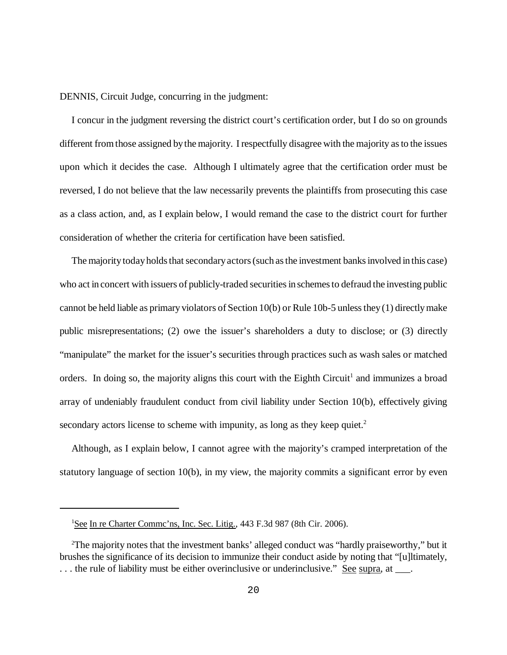DENNIS, Circuit Judge, concurring in the judgment:

I concur in the judgment reversing the district court's certification order, but I do so on grounds different fromthose assigned bythe majority. I respectfully disagree with the majority as to the issues upon which it decides the case. Although I ultimately agree that the certification order must be reversed, I do not believe that the law necessarily prevents the plaintiffs from prosecuting this case as a class action, and, as I explain below, I would remand the case to the district court for further consideration of whether the criteria for certification have been satisfied.

The majority today holds that secondary actors (such as the investment banks involved in this case) who act in concert with issuers of publicly-traded securities in schemes to defraud the investing public cannot be held liable as primary violators of Section 10(b) or Rule 10b-5 unlessthey(1) directlymake public misrepresentations; (2) owe the issuer's shareholders a duty to disclose; or (3) directly "manipulate" the market for the issuer's securities through practices such as wash sales or matched orders. In doing so, the majority aligns this court with the Eighth Circuit<sup>1</sup> and immunizes a broad array of undeniably fraudulent conduct from civil liability under Section 10(b), effectively giving secondary actors license to scheme with impunity, as long as they keep quiet.<sup>2</sup>

Although, as I explain below, I cannot agree with the majority's cramped interpretation of the statutory language of section 10(b), in my view, the majority commits a significant error by even

<sup>&</sup>lt;sup>1</sup>See In re Charter Commc'ns, Inc. Sec. Litig., 443 F.3d 987 (8th Cir. 2006).

<sup>2</sup>The majority notes that the investment banks' alleged conduct was "hardly praiseworthy," but it brushes the significance of its decision to immunize their conduct aside by noting that "[u]ltimately, ... the rule of liability must be either overinclusive or underinclusive." See supra, at \_\_\_.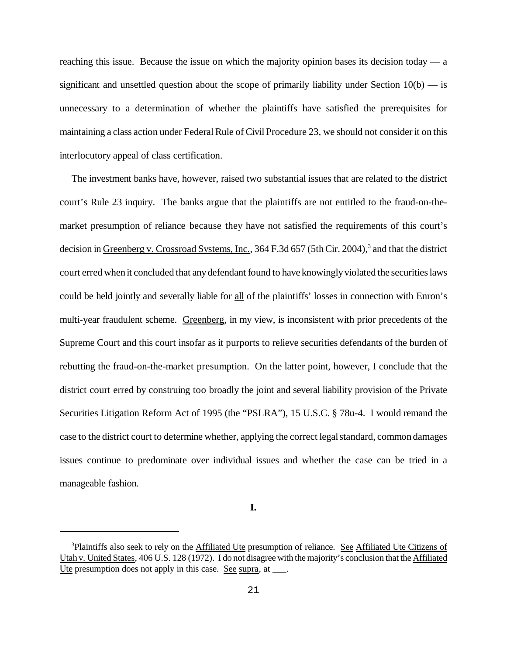reaching this issue. Because the issue on which the majority opinion bases its decision today — a significant and unsettled question about the scope of primarily liability under Section  $10(b)$  — is unnecessary to a determination of whether the plaintiffs have satisfied the prerequisites for maintaining a class action under Federal Rule of Civil Procedure 23, we should not consider it on this interlocutory appeal of class certification.

The investment banks have, however, raised two substantial issues that are related to the district court's Rule 23 inquiry. The banks argue that the plaintiffs are not entitled to the fraud-on-themarket presumption of reliance because they have not satisfied the requirements of this court's decision in Greenberg v. Crossroad Systems, Inc., 364 F.3d 657 (5th Cir. 2004),<sup>3</sup> and that the district court erred when it concluded that anydefendant found to have knowinglyviolated the securitieslaws could be held jointly and severally liable for all of the plaintiffs' losses in connection with Enron's multi-year fraudulent scheme. Greenberg, in my view, is inconsistent with prior precedents of the Supreme Court and this court insofar as it purports to relieve securities defendants of the burden of rebutting the fraud-on-the-market presumption. On the latter point, however, I conclude that the district court erred by construing too broadly the joint and several liability provision of the Private Securities Litigation Reform Act of 1995 (the "PSLRA"), 15 U.S.C. § 78u-4. I would remand the case to the district court to determine whether, applying the correct legal standard, common damages issues continue to predominate over individual issues and whether the case can be tried in a manageable fashion.

**I.**

<sup>&</sup>lt;sup>3</sup>Plaintiffs also seek to rely on the Affiliated Ute presumption of reliance. See Affiliated Ute Citizens of Utah v. United States, 406 U.S. 128 (1972). I do not disagree with the majority's conclusion that the Affiliated Ute presumption does not apply in this case. See supra, at \_\_\_.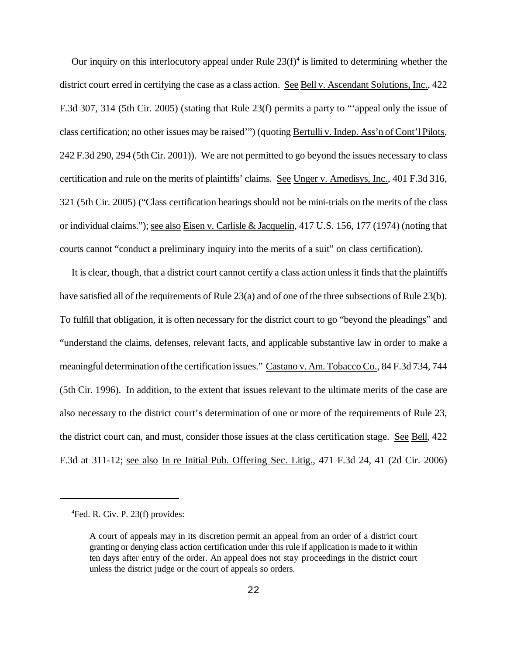Our inquiry on this interlocutory appeal under Rule  $23(f)^4$  is limited to determining whether the district court erred in certifying the case as a class action. See Bell v. Ascendant Solutions, Inc., 422 F.3d 307, 314 (5th Cir. 2005) (stating that Rule 23(f) permits a party to "'appeal only the issue of class certification; no other issues may be raised'") (quoting Bertulli v. Indep. Ass'n of Cont'l Pilots, 242 F.3d 290, 294 (5th Cir. 2001)). We are not permitted to go beyond the issues necessary to class certification and rule on the merits of plaintiffs' claims. See Unger v. Amedisys, Inc., 401 F.3d 316, 321 (5th Cir. 2005) ("Class certification hearings should not be mini-trials on the merits of the class or individual claims."); see also Eisen v. Carlisle & Jacquelin, 417 U.S. 156, 177 (1974) (noting that courts cannot "conduct a preliminary inquiry into the merits of a suit" on class certification).

It is clear, though, that a district court cannot certify a class action unless it finds that the plaintiffs have satisfied all of the requirements of Rule 23(a) and of one of the three subsections of Rule 23(b). To fulfill that obligation, it is often necessary for the district court to go "beyond the pleadings" and "understand the claims, defenses, relevant facts, and applicable substantive law in order to make a meaningful determination ofthe certification issues." Castano v. Am. Tobacco Co., 84 F.3d 734, 744 (5th Cir. 1996). In addition, to the extent that issues relevant to the ultimate merits of the case are also necessary to the district court's determination of one or more of the requirements of Rule 23, the district court can, and must, consider those issues at the class certification stage. See Bell, 422 F.3d at 311-12; see also In re Initial Pub. Offering Sec. Litig., 471 F.3d 24, 41 (2d Cir. 2006)

<sup>4</sup>Fed. R. Civ. P. 23(f) provides:

A court of appeals may in its discretion permit an appeal from an order of a district court granting or denying class action certification under this rule if application is made to it within ten days after entry of the order. An appeal does not stay proceedings in the district court unless the district judge or the court of appeals so orders.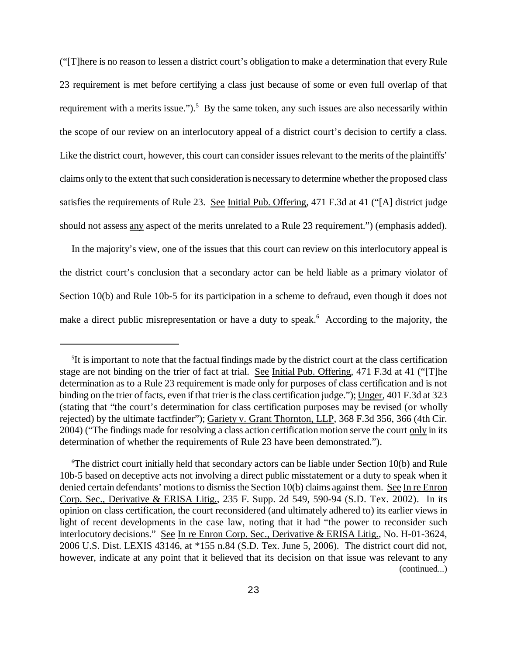("[T]here is no reason to lessen a district court's obligation to make a determination that every Rule 23 requirement is met before certifying a class just because of some or even full overlap of that requirement with a merits issue.").<sup>5</sup> By the same token, any such issues are also necessarily within the scope of our review on an interlocutory appeal of a district court's decision to certify a class. Like the district court, however, this court can consider issues relevant to the merits of the plaintiffs' claims only to the extent that such consideration is necessary to determine whether the proposed class satisfies the requirements of Rule 23. See Initial Pub. Offering, 471 F.3d at 41 ("[A] district judge should not assess any aspect of the merits unrelated to a Rule 23 requirement.") (emphasis added).

In the majority's view, one of the issues that this court can review on this interlocutory appeal is the district court's conclusion that a secondary actor can be held liable as a primary violator of Section 10(b) and Rule 10b-5 for its participation in a scheme to defraud, even though it does not make a direct public misrepresentation or have a duty to speak.<sup>6</sup> According to the majority, the

<sup>&</sup>lt;sup>5</sup>It is important to note that the factual findings made by the district court at the class certification stage are not binding on the trier of fact at trial. See Initial Pub. Offering, 471 F.3d at 41 ("[T]he determination as to a Rule 23 requirement is made only for purposes of class certification and is not binding on the trier of facts, even if that trier is the class certification judge."); Unger, 401 F.3d at 323 (stating that "the court's determination for class certification purposes may be revised (or wholly rejected) by the ultimate factfinder"); Gariety v. Grant Thornton, LLP, 368 F.3d 356, 366 (4th Cir. 2004) ("The findings made for resolving a class action certification motion serve the court only in its determination of whether the requirements of Rule 23 have been demonstrated.").

 $6$ The district court initially held that secondary actors can be liable under Section 10(b) and Rule 10b-5 based on deceptive acts not involving a direct public misstatement or a duty to speak when it denied certain defendants' motions to dismiss the Section 10(b) claims against them. See In re Enron Corp. Sec., Derivative & ERISA Litig., 235 F. Supp. 2d 549, 590-94 (S.D. Tex. 2002). In its opinion on class certification, the court reconsidered (and ultimately adhered to) its earlier views in light of recent developments in the case law, noting that it had "the power to reconsider such interlocutory decisions." See In re Enron Corp. Sec., Derivative & ERISA Litig., No. H-01-3624, 2006 U.S. Dist. LEXIS 43146, at \*155 n.84 (S.D. Tex. June 5, 2006). The district court did not, however, indicate at any point that it believed that its decision on that issue was relevant to any (continued...)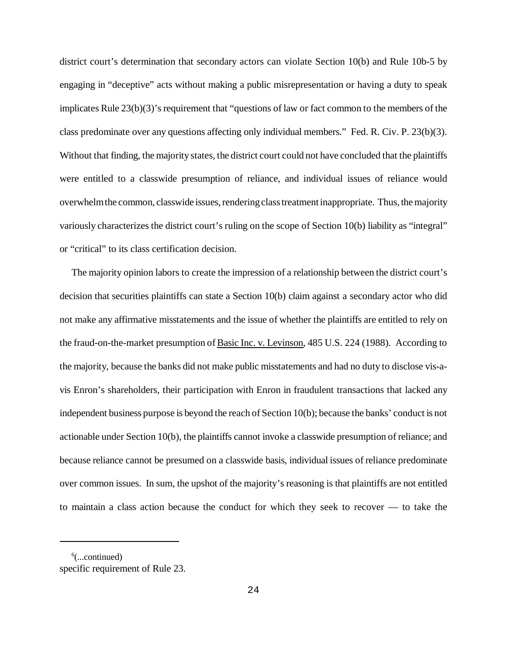district court's determination that secondary actors can violate Section 10(b) and Rule 10b-5 by engaging in "deceptive" acts without making a public misrepresentation or having a duty to speak implicates Rule  $23(b)(3)$ 's requirement that "questions of law or fact common to the members of the class predominate over any questions affecting only individual members." Fed. R. Civ. P. 23(b)(3). Without that finding, the majority states, the district court could not have concluded that the plaintiffs were entitled to a classwide presumption of reliance, and individual issues of reliance would overwhelmthe common, classwide issues, rendering class treatment inappropriate. Thus, the majority variously characterizes the district court's ruling on the scope of Section 10(b) liability as "integral" or "critical" to its class certification decision.

The majority opinion labors to create the impression of a relationship between the district court's decision that securities plaintiffs can state a Section 10(b) claim against a secondary actor who did not make any affirmative misstatements and the issue of whether the plaintiffs are entitled to rely on the fraud-on-the-market presumption of Basic Inc. v. Levinson, 485 U.S. 224 (1988). According to the majority, because the banks did not make public misstatements and had no duty to disclose vis-avis Enron's shareholders, their participation with Enron in fraudulent transactions that lacked any independent business purpose is beyond the reach of Section 10(b); because the banks' conduct is not actionable under Section 10(b), the plaintiffs cannot invoke a classwide presumption of reliance; and because reliance cannot be presumed on a classwide basis, individual issues of reliance predominate over common issues. In sum, the upshot of the majority's reasoning is that plaintiffs are not entitled to maintain a class action because the conduct for which they seek to recover — to take the

 $6$ (...continued) specific requirement of Rule 23.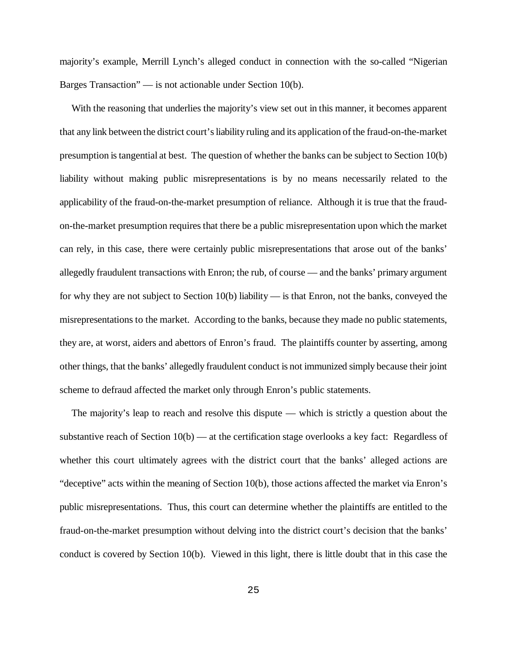majority's example, Merrill Lynch's alleged conduct in connection with the so-called "Nigerian Barges Transaction" — is not actionable under Section 10(b).

With the reasoning that underlies the majority's view set out in this manner, it becomes apparent that any link between the district court'sliability ruling and its application of the fraud-on-the-market presumption istangential at best. The question of whether the banks can be subject to Section 10(b) liability without making public misrepresentations is by no means necessarily related to the applicability of the fraud-on-the-market presumption of reliance. Although it is true that the fraudon-the-market presumption requires that there be a public misrepresentation upon which the market can rely, in this case, there were certainly public misrepresentations that arose out of the banks' allegedly fraudulent transactions with Enron; the rub, of course — and the banks' primary argument for why they are not subject to Section 10(b) liability — is that Enron, not the banks, conveyed the misrepresentations to the market. According to the banks, because they made no public statements, they are, at worst, aiders and abettors of Enron's fraud. The plaintiffs counter by asserting, among other things, that the banks' allegedly fraudulent conduct is not immunized simply because their joint scheme to defraud affected the market only through Enron's public statements.

The majority's leap to reach and resolve this dispute — which is strictly a question about the substantive reach of Section 10(b) — at the certification stage overlooks a key fact: Regardless of whether this court ultimately agrees with the district court that the banks' alleged actions are "deceptive" acts within the meaning of Section 10(b), those actions affected the market via Enron's public misrepresentations. Thus, this court can determine whether the plaintiffs are entitled to the fraud-on-the-market presumption without delving into the district court's decision that the banks' conduct is covered by Section 10(b). Viewed in this light, there is little doubt that in this case the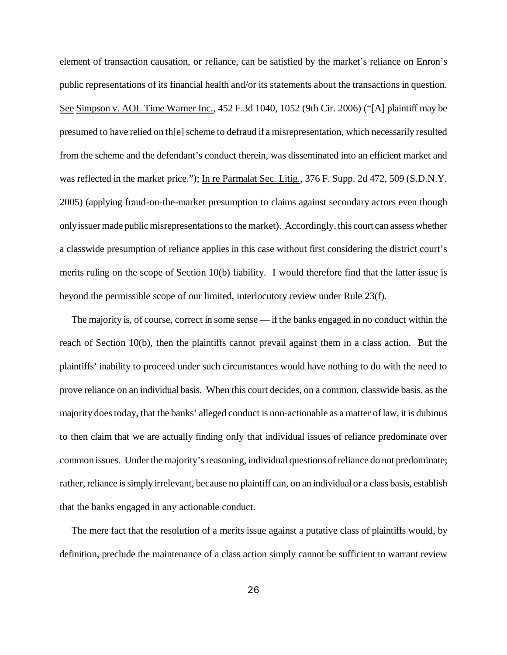element of transaction causation, or reliance, can be satisfied by the market's reliance on Enron's public representations of its financial health and/or its statements about the transactions in question. See Simpson v. AOL Time Warner Inc., 452 F.3d 1040, 1052 (9th Cir. 2006) ("[A] plaintiff may be presumed to have relied on th[e] scheme to defraud if a misrepresentation, which necessarily resulted from the scheme and the defendant's conduct therein, was disseminated into an efficient market and was reflected in the market price."); In re Parmalat Sec. Litig., 376 F. Supp. 2d 472, 509 (S.D.N.Y. 2005) (applying fraud-on-the-market presumption to claims against secondary actors even though only issuer made public misrepresentations to the market). Accordingly, this court can assess whether a classwide presumption of reliance applies in this case without first considering the district court's merits ruling on the scope of Section 10(b) liability. I would therefore find that the latter issue is beyond the permissible scope of our limited, interlocutory review under Rule 23(f).

The majority is, of course, correct in some sense — if the banks engaged in no conduct within the reach of Section 10(b), then the plaintiffs cannot prevail against them in a class action. But the plaintiffs' inability to proceed under such circumstances would have nothing to do with the need to prove reliance on an individual basis. When this court decides, on a common, classwide basis, as the majority doestoday, that the banks' alleged conduct is non-actionable as a matter oflaw, it is dubious to then claim that we are actually finding only that individual issues of reliance predominate over common issues. Under the majority's reasoning, individual questions of reliance do not predominate; rather, reliance is simply irrelevant, because no plaintiff can, on an individual or a class basis, establish that the banks engaged in any actionable conduct.

The mere fact that the resolution of a merits issue against a putative class of plaintiffs would, by definition, preclude the maintenance of a class action simply cannot be sufficient to warrant review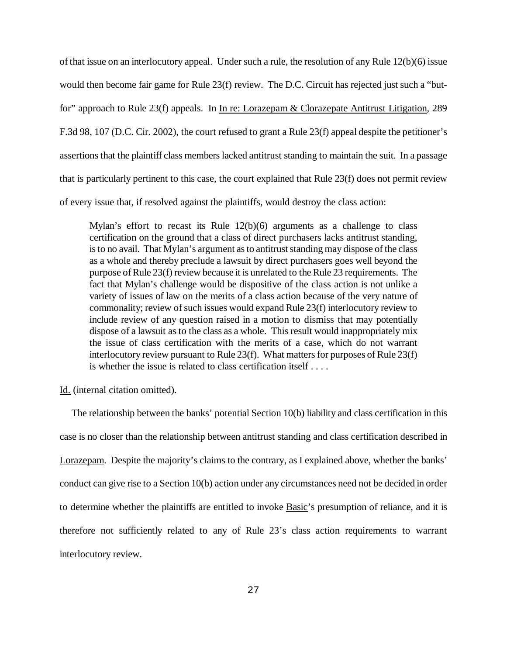of that issue on an interlocutory appeal. Under such a rule, the resolution of any Rule 12(b)(6) issue would then become fair game for Rule 23(f) review. The D.C. Circuit has rejected just such a "butfor" approach to Rule 23(f) appeals. In In re: Lorazepam & Clorazepate Antitrust Litigation, 289 F.3d 98, 107 (D.C. Cir. 2002), the court refused to grant a Rule 23(f) appeal despite the petitioner's assertionsthat the plaintiff class memberslacked antitrust standing to maintain the suit. In a passage that is particularly pertinent to this case, the court explained that Rule 23(f) does not permit review of every issue that, if resolved against the plaintiffs, would destroy the class action:

Mylan's effort to recast its Rule  $12(b)(6)$  arguments as a challenge to class certification on the ground that a class of direct purchasers lacks antitrust standing, isto no avail. That Mylan's argument as to antitrust standing may dispose of the class as a whole and thereby preclude a lawsuit by direct purchasers goes well beyond the purpose ofRule 23(f) review because it is unrelated to the Rule 23 requirements. The fact that Mylan's challenge would be dispositive of the class action is not unlike a variety of issues of law on the merits of a class action because of the very nature of commonality; review of such issues would expand Rule 23(f) interlocutory review to include review of any question raised in a motion to dismiss that may potentially dispose of a lawsuit as to the class as a whole. This result would inappropriately mix the issue of class certification with the merits of a case, which do not warrant interlocutory review pursuant to Rule 23(f). What matters for purposes of Rule 23(f) is whether the issue is related to class certification itself . . . .

Id. (internal citation omitted).

The relationship between the banks' potential Section 10(b) liability and class certification in this case is no closer than the relationship between antitrust standing and class certification described in Lorazepam. Despite the majority's claims to the contrary, as I explained above, whether the banks' conduct can give rise to a Section 10(b) action under any circumstances need not be decided in order to determine whether the plaintiffs are entitled to invoke Basic's presumption of reliance, and it is therefore not sufficiently related to any of Rule 23's class action requirements to warrant interlocutory review.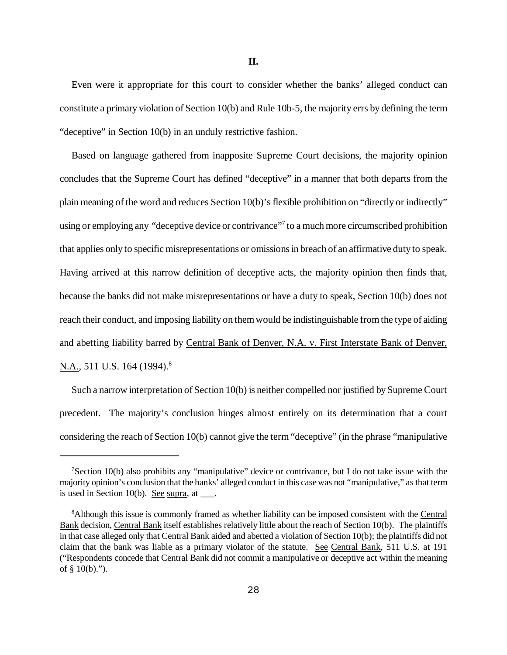Even were it appropriate for this court to consider whether the banks' alleged conduct can constitute a primary violation of Section 10(b) and Rule 10b-5, the majority errs by defining the term "deceptive" in Section 10(b) in an unduly restrictive fashion.

Based on language gathered from inapposite Supreme Court decisions, the majority opinion concludes that the Supreme Court has defined "deceptive" in a manner that both departs from the plain meaning of the word and reduces Section 10(b)'s flexible prohibition on "directly or indirectly" using or employing any "deceptive device or contrivance"<sup>7</sup> to a much more circumscribed prohibition that applies only to specific misrepresentations or omissionsin breach of an affirmative duty to speak. Having arrived at this narrow definition of deceptive acts, the majority opinion then finds that, because the banks did not make misrepresentations or have a duty to speak, Section 10(b) does not reach their conduct, and imposing liability on themwould be indistinguishable fromthe type of aiding and abetting liability barred by Central Bank of Denver, N.A. v. First Interstate Bank of Denver, N.A., 511 U.S. 164 (1994).<sup>8</sup>

Such a narrow interpretation of Section 10(b) is neither compelled nor justified by Supreme Court precedent. The majority's conclusion hinges almost entirely on its determination that a court considering the reach of Section 10(b) cannot give the term "deceptive" (in the phrase "manipulative

<sup>&</sup>lt;sup>7</sup>Section 10(b) also prohibits any "manipulative" device or contrivance, but I do not take issue with the majority opinion's conclusion that the banks' alleged conduct in this casewas not "manipulative," as that term is used in Section  $10(b)$ . See supra, at  $\qquad$ .

<sup>&</sup>lt;sup>8</sup>Although this issue is commonly framed as whether liability can be imposed consistent with the Central Bank decision, Central Bank itself establishes relatively little about the reach of Section 10(b). The plaintiffs in that case alleged only that Central Bank aided and abetted a violation of Section 10(b); the plaintiffs did not claim that the bank was liable as a primary violator of the statute. See Central Bank, 511 U.S. at 191 ("Respondents concede that Central Bank did not commit a manipulative or deceptive act within the meaning of § 10(b).").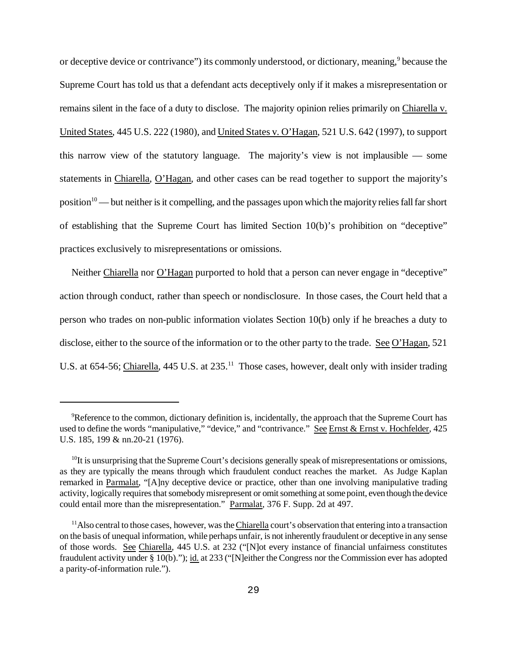or deceptive device or contrivance") its commonly understood, or dictionary, meaning,<sup>9</sup> because the Supreme Court has told us that a defendant acts deceptively only if it makes a misrepresentation or remains silent in the face of a duty to disclose. The majority opinion relies primarily on Chiarella v. United States, 445 U.S. 222 (1980), and United States v. O'Hagan, 521 U.S. 642 (1997), to support this narrow view of the statutory language. The majority's view is not implausible — some statements in Chiarella, O'Hagan, and other cases can be read together to support the majority's position<sup>10</sup> — but neither is it compelling, and the passages upon which the majority relies fall far short of establishing that the Supreme Court has limited Section 10(b)'s prohibition on "deceptive" practices exclusively to misrepresentations or omissions.

Neither Chiarella nor O'Hagan purported to hold that a person can never engage in "deceptive" action through conduct, rather than speech or nondisclosure. In those cases, the Court held that a person who trades on non-public information violates Section 10(b) only if he breaches a duty to disclose, either to the source of the information or to the other party to the trade. See O'Hagan, 521 U.S. at 654-56; Chiarella, 445 U.S. at 235.<sup>11</sup> Those cases, however, dealt only with insider trading

<sup>&</sup>lt;sup>9</sup>Reference to the common, dictionary definition is, incidentally, the approach that the Supreme Court has used to define the words "manipulative," "device," and "contrivance." See Ernst & Ernst v. Hochfelder, 425 U.S. 185, 199 & nn.20-21 (1976).

 $10$ It is unsurprising that the Supreme Court's decisions generally speak of misrepresentations or omissions, as they are typically the means through which fraudulent conduct reaches the market. As Judge Kaplan remarked in Parmalat, "[A]ny deceptive device or practice, other than one involving manipulative trading activity, logically requires that somebody misrepresent or omit something at some point, even though the device could entail more than the misrepresentation." Parmalat, 376 F. Supp. 2d at 497.

<sup>&</sup>lt;sup>11</sup>Also central to those cases, however, was the Chiarella court's observation that entering into a transaction on the basis of unequal information, while perhaps unfair, is not inherently fraudulent or deceptive in any sense of those words. See Chiarella, 445 U.S. at 232 ("[N]ot every instance of financial unfairness constitutes fraudulent activity under § 10(b)."); id. at 233 ("[N]either the Congress nor the Commission ever has adopted a parity-of-information rule.").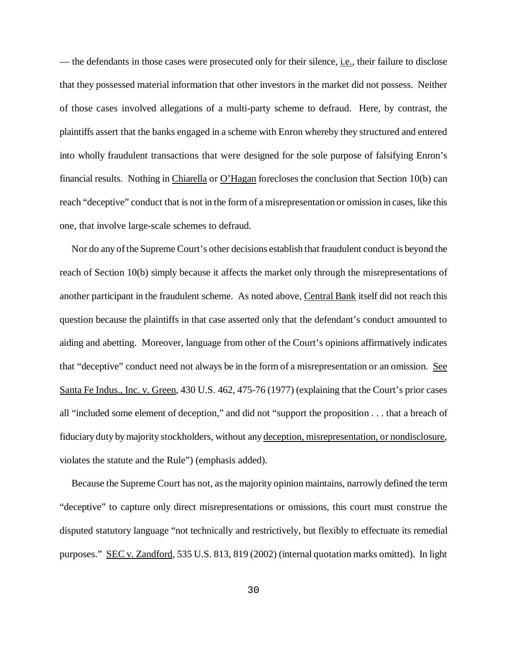— the defendants in those cases were prosecuted only for their silence, i.e., their failure to disclose that they possessed material information that other investors in the market did not possess. Neither of those cases involved allegations of a multi-party scheme to defraud. Here, by contrast, the plaintiffs assert that the banks engaged in a scheme with Enron whereby they structured and entered into wholly fraudulent transactions that were designed for the sole purpose of falsifying Enron's financial results. Nothing in Chiarella or O'Hagan forecloses the conclusion that Section 10(b) can reach "deceptive" conduct that is not in the form of a misrepresentation or omission in cases, like this one, that involve large-scale schemes to defraud.

Nor do any of the Supreme Court's other decisions establish that fraudulent conduct is beyond the reach of Section 10(b) simply because it affects the market only through the misrepresentations of another participant in the fraudulent scheme. As noted above, Central Bank itself did not reach this question because the plaintiffs in that case asserted only that the defendant's conduct amounted to aiding and abetting. Moreover, language from other of the Court's opinions affirmatively indicates that "deceptive" conduct need not always be in the form of a misrepresentation or an omission. See Santa Fe Indus., Inc. v. Green, 430 U.S. 462, 475-76 (1977) (explaining that the Court's prior cases all "included some element of deception," and did not "support the proposition . . . that a breach of fiduciary duty bymajority stockholders, without any deception, misrepresentation, or nondisclosure, violates the statute and the Rule") (emphasis added).

Because the Supreme Court has not, as the majority opinion maintains, narrowly defined the term "deceptive" to capture only direct misrepresentations or omissions, this court must construe the disputed statutory language "not technically and restrictively, but flexibly to effectuate its remedial purposes." SEC v. Zandford, 535 U.S. 813, 819 (2002) (internal quotation marks omitted). In light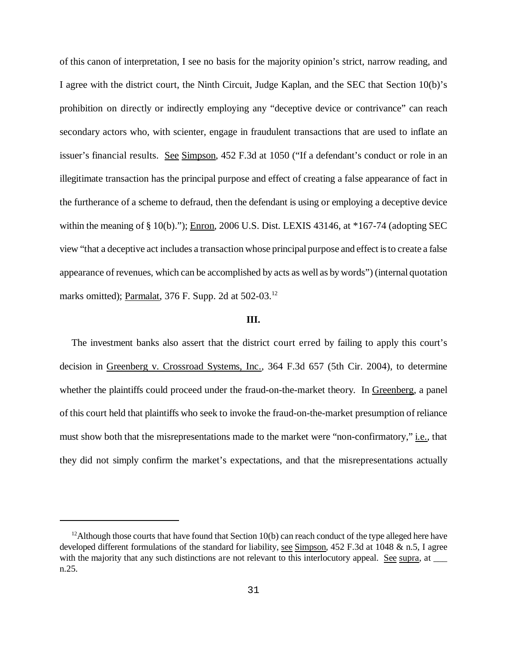of this canon of interpretation, I see no basis for the majority opinion's strict, narrow reading, and I agree with the district court, the Ninth Circuit, Judge Kaplan, and the SEC that Section 10(b)'s prohibition on directly or indirectly employing any "deceptive device or contrivance" can reach secondary actors who, with scienter, engage in fraudulent transactions that are used to inflate an issuer's financial results. See Simpson, 452 F.3d at 1050 ("If a defendant's conduct or role in an illegitimate transaction has the principal purpose and effect of creating a false appearance of fact in the furtherance of a scheme to defraud, then the defendant is using or employing a deceptive device within the meaning of § 10(b)."); Enron, 2006 U.S. Dist. LEXIS 43146, at \*167-74 (adopting SEC view "that a deceptive act includes a transaction whose principalpurpose and effect isto create a false appearance of revenues, which can be accomplished by acts as well as bywords") (internal quotation marks omitted); Parmalat, 376 F. Supp. 2d at 502-03.<sup>12</sup>

## **III.**

The investment banks also assert that the district court erred by failing to apply this court's decision in Greenberg v. Crossroad Systems, Inc., 364 F.3d 657 (5th Cir. 2004), to determine whether the plaintiffs could proceed under the fraud-on-the-market theory. In Greenberg, a panel of this court held that plaintiffs who seek to invoke the fraud-on-the-market presumption of reliance must show both that the misrepresentations made to the market were "non-confirmatory," *i.e.*, that they did not simply confirm the market's expectations, and that the misrepresentations actually

<sup>&</sup>lt;sup>12</sup>Although those courts that have found that Section 10(b) can reach conduct of the type alleged here have developed different formulations of the standard for liability, see Simpson, 452 F.3d at 1048 & n.5, I agree with the majority that any such distinctions are not relevant to this interlocutory appeal. See supra, at n.25.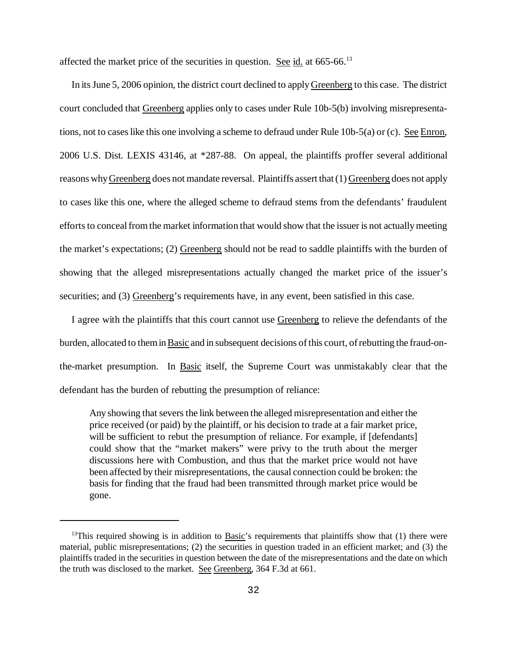affected the market price of the securities in question. See id. at 665-66.<sup>13</sup>

In itsJune 5, 2006 opinion, the district court declined to applyGreenberg to this case. The district court concluded that Greenberg applies only to cases under Rule 10b-5(b) involving misrepresentations, not to cases like this one involving a scheme to defraud under Rule 10b-5(a) or (c). See Enron, 2006 U.S. Dist. LEXIS 43146, at \*287-88. On appeal, the plaintiffs proffer several additional reasons whyGreenberg does not mandate reversal. Plaintiffs assert that (1) Greenberg does not apply to cases like this one, where the alleged scheme to defraud stems from the defendants' fraudulent efforts to conceal from the market information that would show that the issuer is not actually meeting the market's expectations; (2) Greenberg should not be read to saddle plaintiffs with the burden of showing that the alleged misrepresentations actually changed the market price of the issuer's securities; and (3) Greenberg's requirements have, in any event, been satisfied in this case.

I agree with the plaintiffs that this court cannot use Greenberg to relieve the defendants of the burden, allocated to them in Basic and in subsequent decisions of this court, of rebutting the fraud-onthe-market presumption. In Basic itself, the Supreme Court was unmistakably clear that the defendant has the burden of rebutting the presumption of reliance:

Any showing that severs the link between the alleged misrepresentation and either the price received (or paid) by the plaintiff, or his decision to trade at a fair market price, will be sufficient to rebut the presumption of reliance. For example, if [defendants] could show that the "market makers" were privy to the truth about the merger discussions here with Combustion, and thus that the market price would not have been affected by their misrepresentations, the causal connection could be broken: the basis for finding that the fraud had been transmitted through market price would be gone.

 $13$ This required showing is in addition to Basic's requirements that plaintiffs show that (1) there were material, public misrepresentations; (2) the securities in question traded in an efficient market; and (3) the plaintiffs traded in the securities in question between the date of the misrepresentations and the date on which the truth was disclosed to the market. See Greenberg, 364 F.3d at 661.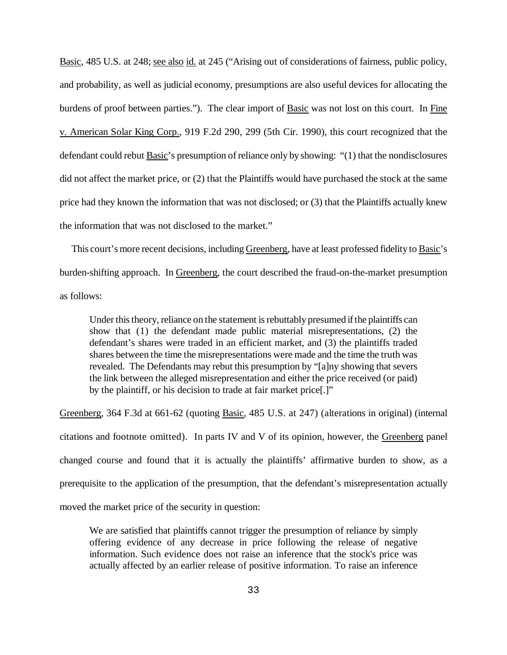Basic, 485 U.S. at 248; see also id. at 245 ("Arising out of considerations of fairness, public policy, and probability, as well as judicial economy, presumptions are also useful devices for allocating the burdens of proof between parties."). The clear import of Basic was not lost on this court. In Fine v. American Solar King Corp., 919 F.2d 290, 299 (5th Cir. 1990), this court recognized that the defendant could rebut Basic's presumption of reliance only by showing: "(1) that the nondisclosures did not affect the market price, or (2) that the Plaintiffs would have purchased the stock at the same price had they known the information that was not disclosed; or (3) that the Plaintiffs actually knew the information that was not disclosed to the market."

This court's more recent decisions, including Greenberg, have at least professed fidelity to Basic's burden-shifting approach. In Greenberg, the court described the fraud-on-the-market presumption as follows:

Under this theory, reliance on the statement is rebuttably presumed if the plaintiffs can show that (1) the defendant made public material misrepresentations, (2) the defendant's shares were traded in an efficient market, and (3) the plaintiffs traded shares between the time the misrepresentations were made and the time the truth was revealed. The Defendants may rebut this presumption by "[a]ny showing that severs the link between the alleged misrepresentation and either the price received (or paid) by the plaintiff, or his decision to trade at fair market price[.]"

Greenberg, 364 F.3d at 661-62 (quoting Basic, 485 U.S. at 247) (alterations in original) (internal citations and footnote omitted). In parts IV and V of its opinion, however, the Greenberg panel changed course and found that it is actually the plaintiffs' affirmative burden to show, as a prerequisite to the application of the presumption, that the defendant's misrepresentation actually moved the market price of the security in question:

We are satisfied that plaintiffs cannot trigger the presumption of reliance by simply offering evidence of any decrease in price following the release of negative information. Such evidence does not raise an inference that the stock's price was actually affected by an earlier release of positive information. To raise an inference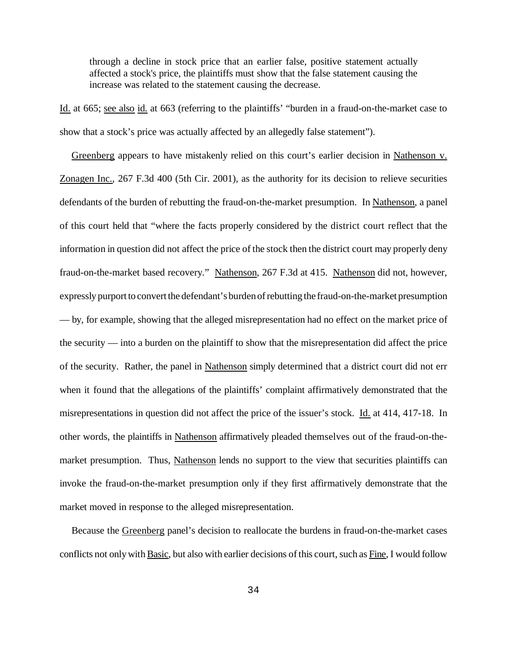through a decline in stock price that an earlier false, positive statement actually affected a stock's price, the plaintiffs must show that the false statement causing the increase was related to the statement causing the decrease.

Id. at 665; see also id. at 663 (referring to the plaintiffs' "burden in a fraud-on-the-market case to show that a stock's price was actually affected by an allegedly false statement").

Greenberg appears to have mistakenly relied on this court's earlier decision in Nathenson v. Zonagen Inc., 267 F.3d 400 (5th Cir. 2001), as the authority for its decision to relieve securities defendants of the burden of rebutting the fraud-on-the-market presumption. In Nathenson, a panel of this court held that "where the facts properly considered by the district court reflect that the information in question did not affect the price of the stock then the district court may properly deny fraud-on-the-market based recovery." Nathenson, 267 F.3d at 415. Nathenson did not, however, expressly purport to convert the defendant's burden of rebutting the fraud-on-the-market presumption — by, for example, showing that the alleged misrepresentation had no effect on the market price of the security — into a burden on the plaintiff to show that the misrepresentation did affect the price of the security. Rather, the panel in Nathenson simply determined that a district court did not err when it found that the allegations of the plaintiffs' complaint affirmatively demonstrated that the misrepresentations in question did not affect the price of the issuer's stock. Id. at 414, 417-18. In other words, the plaintiffs in Nathenson affirmatively pleaded themselves out of the fraud-on-themarket presumption. Thus, Nathenson lends no support to the view that securities plaintiffs can invoke the fraud-on-the-market presumption only if they first affirmatively demonstrate that the market moved in response to the alleged misrepresentation.

Because the Greenberg panel's decision to reallocate the burdens in fraud-on-the-market cases conflicts not only with Basic, but also with earlier decisions of this court, such as Fine, I would follow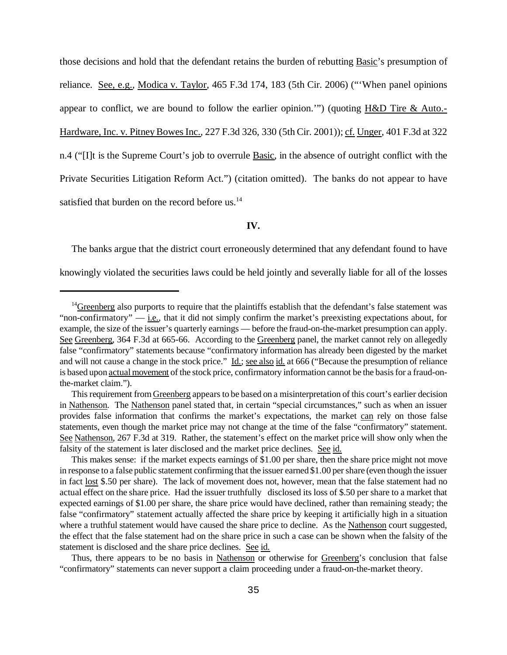those decisions and hold that the defendant retains the burden of rebutting Basic's presumption of reliance. See, e.g., Modica v. Taylor, 465 F.3d 174, 183 (5th Cir. 2006) ("When panel opinions appear to conflict, we are bound to follow the earlier opinion.'") (quoting H&D Tire & Auto.- Hardware, Inc. v. Pitney Bowes Inc., 227 F.3d 326, 330 (5th Cir. 2001)); cf. Unger, 401 F.3d at 322 n.4 ("[I]t is the Supreme Court's job to overrule Basic, in the absence of outright conflict with the Private Securities Litigation Reform Act.") (citation omitted). The banks do not appear to have satisfied that burden on the record before us.<sup>14</sup>

### **IV.**

The banks argue that the district court erroneously determined that any defendant found to have

knowingly violated the securities laws could be held jointly and severally liable for all of the losses

Thus, there appears to be no basis in Nathenson or otherwise for Greenberg's conclusion that false "confirmatory" statements can never support a claim proceeding under a fraud-on-the-market theory.

<sup>&</sup>lt;sup>14</sup>Greenberg also purports to require that the plaintiffs establish that the defendant's false statement was "non-confirmatory" — i.e., that it did not simply confirm the market's preexisting expectations about, for example, the size of the issuer's quarterly earnings — before the fraud-on-the-market presumption can apply. See Greenberg, 364 F.3d at 665-66. According to the Greenberg panel, the market cannot rely on allegedly false "confirmatory" statements because "confirmatory information has already been digested by the market and will not cause a change in the stock price." Id.; see also id. at 666 ("Because the presumption of reliance is based upon actual movement of the stock price, confirmatory information cannot be the basis for a fraud-onthe-market claim.").

This requirement from Greenberg appears to be based on a misinterpretation of this court's earlier decision in Nathenson. The Nathenson panel stated that, in certain "special circumstances," such as when an issuer provides false information that confirms the market's expectations, the market can rely on those false statements, even though the market price may not change at the time of the false "confirmatory" statement. See Nathenson, 267 F.3d at 319. Rather, the statement's effect on the market price will show only when the falsity of the statement is later disclosed and the market price declines. See id.

This makes sense: if the market expects earnings of \$1.00 per share, then the share price might not move in response to a false public statement confirming that the issuer earned \$1.00 pershare (even though the issuer in fact lost \$.50 per share). The lack of movement does not, however, mean that the false statement had no actual effect on the share price. Had the issuer truthfully disclosed its loss of \$.50 per share to a market that expected earnings of \$1.00 per share, the share price would have declined, rather than remaining steady; the false "confirmatory" statement actually affected the share price by keeping it artificially high in a situation where a truthful statement would have caused the share price to decline. As the Nathenson court suggested, the effect that the false statement had on the share price in such a case can be shown when the falsity of the statement is disclosed and the share price declines. See id.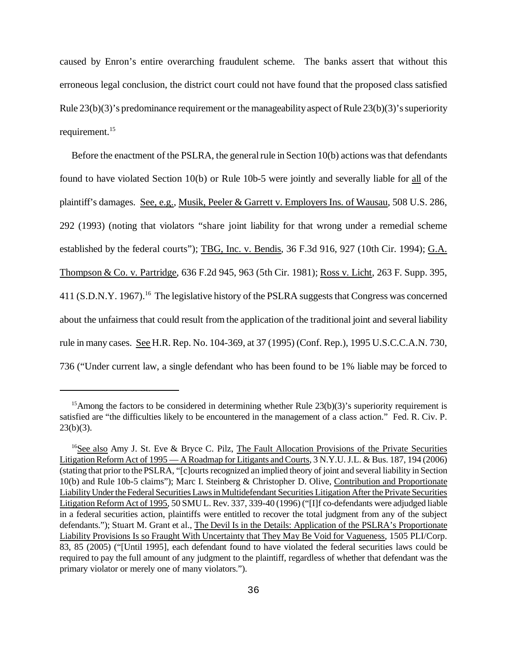caused by Enron's entire overarching fraudulent scheme. The banks assert that without this erroneous legal conclusion, the district court could not have found that the proposed class satisfied Rule  $23(b)(3)$ 's predominance requirement or the manageability aspect of Rule  $23(b)(3)$ 's superiority requirement.<sup>15</sup>

Before the enactment of the PSLRA, the general rule in Section  $10(b)$  actions was that defendants found to have violated Section 10(b) or Rule 10b-5 were jointly and severally liable for all of the plaintiff's damages. See, e.g., Musik, Peeler & Garrett v. Employers Ins. of Wausau, 508 U.S. 286, 292 (1993) (noting that violators "share joint liability for that wrong under a remedial scheme established by the federal courts"); TBG, Inc. v. Bendis, 36 F.3d 916, 927 (10th Cir. 1994); G.A. Thompson & Co. v. Partridge, 636 F.2d 945, 963 (5th Cir. 1981); Ross v. Licht, 263 F. Supp. 395, 411 (S.D.N.Y. 1967).<sup>16</sup> The legislative history of the PSLRA suggests that Congress was concerned about the unfairness that could result from the application of the traditional joint and several liability rule in many cases. See H.R. Rep. No. 104-369, at 37 (1995) (Conf. Rep.), 1995 U.S.C.C.A.N. 730, 736 ("Under current law, a single defendant who has been found to be 1% liable may be forced to

<sup>&</sup>lt;sup>15</sup>Among the factors to be considered in determining whether Rule  $23(b)(3)$ 's superiority requirement is satisfied are "the difficulties likely to be encountered in the management of a class action." Fed. R. Civ. P.  $23(b)(3)$ .

<sup>&</sup>lt;sup>16</sup>See also Amy J. St. Eve & Bryce C. Pilz, The Fault Allocation Provisions of the Private Securities Litigation Reform Act of 1995 — A Roadmap for Litigants and Courts, 3 N.Y.U.J.L. & Bus. 187, 194 (2006) (stating that prior to the PSLRA, "[c]ourts recognized an implied theory of joint and several liability in Section 10(b) and Rule 10b-5 claims"); Marc I. Steinberg & Christopher D. Olive, Contribution and Proportionate LiabilityUnder theFederalSecurities LawsinMultidefendant Securities Litigation After the Private Securities Litigation Reform Act of 1995, 50 SMU L. Rev. 337, 339-40 (1996) ("[I]f co-defendants were adjudged liable in a federal securities action, plaintiffs were entitled to recover the total judgment from any of the subject defendants."); Stuart M. Grant et al., The Devil Is in the Details: Application of the PSLRA's Proportionate Liability Provisions Is so Fraught With Uncertainty that They May Be Void for Vagueness, 1505 PLI/Corp. 83, 85 (2005) ("[Until 1995], each defendant found to have violated the federal securities laws could be required to pay the full amount of any judgment to the plaintiff, regardless of whether that defendant was the primary violator or merely one of many violators.").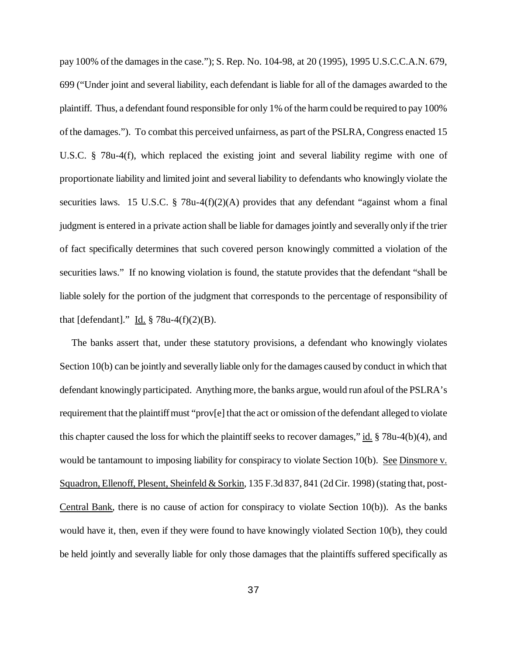pay 100% of the damages in the case."); S. Rep. No. 104-98, at 20 (1995), 1995 U.S.C.C.A.N. 679, 699 ("Under joint and several liability, each defendant is liable for all of the damages awarded to the plaintiff. Thus, a defendant found responsible for only 1% of the harm could be required to pay 100% of the damages."). To combat this perceived unfairness, as part of the PSLRA, Congress enacted 15 U.S.C. § 78u-4(f), which replaced the existing joint and several liability regime with one of proportionate liability and limited joint and several liability to defendants who knowingly violate the securities laws. 15 U.S.C. § 78u-4(f)(2)(A) provides that any defendant "against whom a final judgment is entered in a private action shall be liable for damages jointly and severally only if the trier of fact specifically determines that such covered person knowingly committed a violation of the securities laws." If no knowing violation is found, the statute provides that the defendant "shall be liable solely for the portion of the judgment that corresponds to the percentage of responsibility of that [defendant]." Id.  $\S$  78u-4(f)(2)(B).

The banks assert that, under these statutory provisions, a defendant who knowingly violates Section 10(b) can be jointly and severally liable only for the damages caused by conduct in which that defendant knowingly participated. Anything more, the banks argue, would run afoul of the PSLRA's requirement that the plaintiff must "prov[e] that the act or omission of the defendant alleged to violate this chapter caused the loss for which the plaintiff seeks to recover damages," id.  $\S 78u-4(b)(4)$ , and would be tantamount to imposing liability for conspiracy to violate Section 10(b). See Dinsmore v. Squadron, Ellenoff, Plesent, Sheinfeld & Sorkin, 135 F.3d 837, 841 (2d Cir. 1998) (stating that, post-Central Bank, there is no cause of action for conspiracy to violate Section 10(b)). As the banks would have it, then, even if they were found to have knowingly violated Section 10(b), they could be held jointly and severally liable for only those damages that the plaintiffs suffered specifically as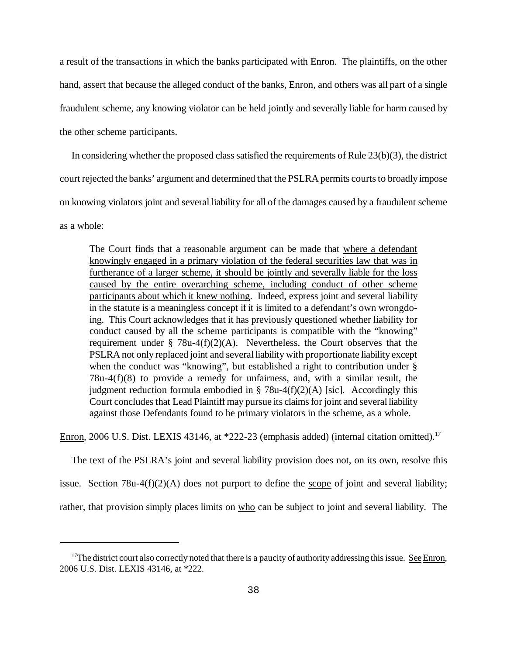a result of the transactions in which the banks participated with Enron. The plaintiffs, on the other hand, assert that because the alleged conduct of the banks, Enron, and others was all part of a single fraudulent scheme, any knowing violator can be held jointly and severally liable for harm caused by the other scheme participants.

In considering whether the proposed class satisfied the requirements of Rule  $(23(b)(3))$ , the district court rejected the banks' argument and determined that the PSLRA permits courts to broadly impose on knowing violators joint and several liability for all of the damages caused by a fraudulent scheme as a whole:

The Court finds that a reasonable argument can be made that where a defendant knowingly engaged in a primary violation of the federal securities law that was in furtherance of a larger scheme, it should be jointly and severally liable for the loss caused by the entire overarching scheme, including conduct of other scheme participants about which it knew nothing. Indeed, express joint and several liability in the statute is a meaningless concept if it is limited to a defendant's own wrongdoing. This Court acknowledges that it has previously questioned whether liability for conduct caused by all the scheme participants is compatible with the "knowing" requirement under § 78u-4(f)(2)(A). Nevertheless, the Court observes that the PSLRA not only replaced joint and several liability with proportionate liability except when the conduct was "knowing", but established a right to contribution under § 78u-4(f)(8) to provide a remedy for unfairness, and, with a similar result, the judgment reduction formula embodied in  $\S$  78u-4(f)(2)(A) [sic]. Accordingly this Court concludes that Lead Plaintiff may pursue its claims for joint and several liability against those Defendants found to be primary violators in the scheme, as a whole.

Enron, 2006 U.S. Dist. LEXIS 43146, at \*222-23 (emphasis added) (internal citation omitted).<sup>17</sup>

The text of the PSLRA's joint and several liability provision does not, on its own, resolve this issue. Section 78u-4(f)(2)(A) does not purport to define the scope of joint and several liability; rather, that provision simply places limits on who can be subject to joint and several liability. The

 $17$ The district court also correctly noted that there is a paucity of authority addressing this issue. See Enron, 2006 U.S. Dist. LEXIS 43146, at \*222.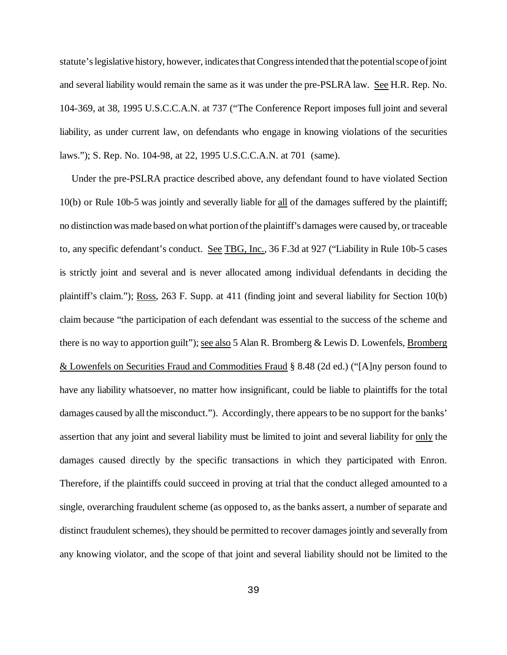statute's legislative history, however, indicates that Congress intended that the potential scope of joint and several liability would remain the same as it was under the pre-PSLRA law. See H.R. Rep. No. 104-369, at 38, 1995 U.S.C.C.A.N. at 737 ("The Conference Report imposes full joint and several liability, as under current law, on defendants who engage in knowing violations of the securities laws."); S. Rep. No. 104-98, at 22, 1995 U.S.C.C.A.N. at 701 (same).

Under the pre-PSLRA practice described above, any defendant found to have violated Section 10(b) or Rule 10b-5 was jointly and severally liable for all of the damages suffered by the plaintiff; no distinction was made based on what portion of the plaintiff's damages were caused by, or traceable to, any specific defendant's conduct. See TBG, Inc., 36 F.3d at 927 ("Liability in Rule 10b-5 cases is strictly joint and several and is never allocated among individual defendants in deciding the plaintiff's claim."); Ross, 263 F. Supp. at 411 (finding joint and several liability for Section 10(b) claim because "the participation of each defendant was essential to the success of the scheme and there is no way to apportion guilt"); <u>see also</u> 5 Alan R. Bromberg & Lewis D. Lowenfels, **Bromberg** & Lowenfels on Securities Fraud and Commodities Fraud § 8.48 (2d ed.) ("[A]ny person found to have any liability whatsoever, no matter how insignificant, could be liable to plaintiffs for the total damages caused by all the misconduct."). Accordingly, there appears to be no support for the banks' assertion that any joint and several liability must be limited to joint and several liability for only the damages caused directly by the specific transactions in which they participated with Enron. Therefore, if the plaintiffs could succeed in proving at trial that the conduct alleged amounted to a single, overarching fraudulent scheme (as opposed to, as the banks assert, a number of separate and distinct fraudulent schemes), they should be permitted to recover damages jointly and severally from any knowing violator, and the scope of that joint and several liability should not be limited to the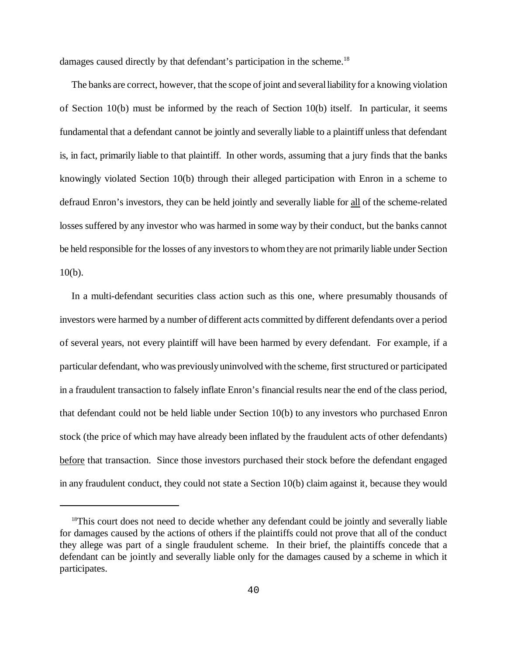damages caused directly by that defendant's participation in the scheme.<sup>18</sup>

The banks are correct, however, that the scope of joint and several liability for a knowing violation of Section  $10(b)$  must be informed by the reach of Section  $10(b)$  itself. In particular, it seems fundamental that a defendant cannot be jointly and severally liable to a plaintiff unless that defendant is, in fact, primarily liable to that plaintiff. In other words, assuming that a jury finds that the banks knowingly violated Section 10(b) through their alleged participation with Enron in a scheme to defraud Enron's investors, they can be held jointly and severally liable for all of the scheme-related losses suffered by any investor who was harmed in some way by their conduct, but the banks cannot be held responsible for the losses of any investors to whom they are not primarily liable under Section 10(b).

In a multi-defendant securities class action such as this one, where presumably thousands of investors were harmed by a number of different acts committed by different defendants over a period of several years, not every plaintiff will have been harmed by every defendant. For example, if a particular defendant, who was previouslyuninvolved with the scheme, first structured or participated in a fraudulent transaction to falsely inflate Enron's financial results near the end of the class period, that defendant could not be held liable under Section 10(b) to any investors who purchased Enron stock (the price of which may have already been inflated by the fraudulent acts of other defendants) before that transaction. Since those investors purchased their stock before the defendant engaged in any fraudulent conduct, they could not state a Section 10(b) claim against it, because they would

<sup>&</sup>lt;sup>18</sup>This court does not need to decide whether any defendant could be jointly and severally liable for damages caused by the actions of others if the plaintiffs could not prove that all of the conduct they allege was part of a single fraudulent scheme. In their brief, the plaintiffs concede that a defendant can be jointly and severally liable only for the damages caused by a scheme in which it participates.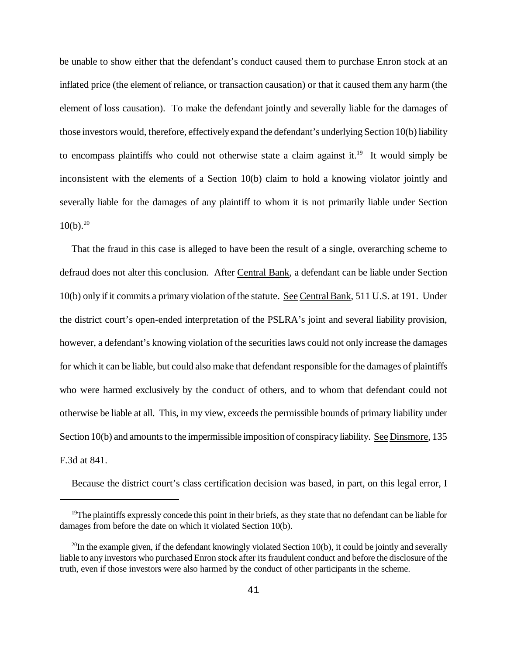be unable to show either that the defendant's conduct caused them to purchase Enron stock at an inflated price (the element of reliance, or transaction causation) or that it caused them any harm (the element of loss causation). To make the defendant jointly and severally liable for the damages of those investors would, therefore, effectivelyexpand the defendant's underlying Section 10(b) liability to encompass plaintiffs who could not otherwise state a claim against it.<sup>19</sup> It would simply be inconsistent with the elements of a Section 10(b) claim to hold a knowing violator jointly and severally liable for the damages of any plaintiff to whom it is not primarily liable under Section  $10(b).^{20}$ 

That the fraud in this case is alleged to have been the result of a single, overarching scheme to defraud does not alter this conclusion. After Central Bank, a defendant can be liable under Section 10(b) only if it commits a primary violation ofthe statute. See CentralBank, 511 U.S. at 191. Under the district court's open-ended interpretation of the PSLRA's joint and several liability provision, however, a defendant's knowing violation of the securities laws could not only increase the damages for which it can be liable, but could also make that defendant responsible for the damages of plaintiffs who were harmed exclusively by the conduct of others, and to whom that defendant could not otherwise be liable at all. This, in my view, exceeds the permissible bounds of primary liability under Section 10(b) and amounts to the impermissible imposition of conspiracy liability. See Dinsmore, 135 F.3d at 841.

Because the district court's class certification decision was based, in part, on this legal error, I

 $19$ The plaintiffs expressly concede this point in their briefs, as they state that no defendant can be liable for damages from before the date on which it violated Section 10(b).

 $^{20}$ In the example given, if the defendant knowingly violated Section 10(b), it could be jointly and severally liable to any investors who purchased Enron stock after its fraudulent conduct and before the disclosure of the truth, even if those investors were also harmed by the conduct of other participants in the scheme.